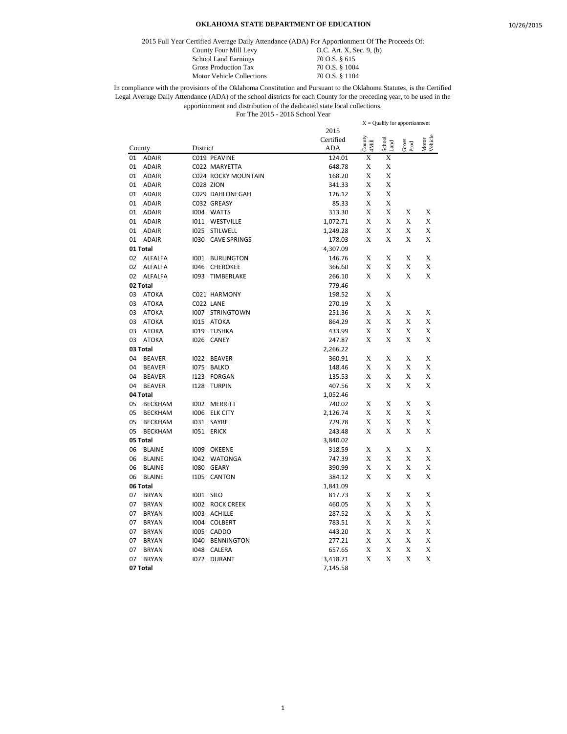2015 Full Year Certified Average Daily Attendance (ADA) For Apportionment Of The Proceeds Of:

County Four Mill Levy 0.C. Art. X, Sec. 9, (b) School Land Earnings 70 O.S. § 615<br>Gross Production Tax 70 O.S. § 1004 Gross Production Tax 70 O.S. § 1004<br>Motor Vehicle Collections 70 O.S. § 1104 Motor Vehicle Collections

|        |                |          |                     |            |                 | $X =$ Qualify for apportionment |               |                  |
|--------|----------------|----------|---------------------|------------|-----------------|---------------------------------|---------------|------------------|
|        |                |          |                     | 2015       |                 |                                 |               |                  |
|        |                |          |                     | Certified  | County<br>4Mill | School<br>and                   | Gross<br>Prod | Motor<br>Vehicle |
| County |                | District |                     | <b>ADA</b> |                 |                                 |               |                  |
| 01     | <b>ADAIR</b>   |          | C019 PEAVINE        | 124.01     | X               | Х                               |               |                  |
| 01     | <b>ADAIR</b>   |          | C022 MARYETTA       | 648.78     | X               | X                               |               |                  |
| 01     | <b>ADAIR</b>   |          | C024 ROCKY MOUNTAIN | 168.20     | X               | X                               |               |                  |
| 01     | <b>ADAIR</b>   |          | <b>C028 ZION</b>    | 341.33     | X               | X                               |               |                  |
| 01     | <b>ADAIR</b>   |          | C029 DAHLONEGAH     | 126.12     | X               | X                               |               |                  |
| 01     | <b>ADAIR</b>   |          | C032 GREASY         | 85.33      | X               | X                               |               |                  |
| 01     | <b>ADAIR</b>   |          | 1004 WATTS          | 313.30     | X               | X                               | X             | X                |
| 01     | <b>ADAIR</b>   |          | 1011 WESTVILLE      | 1,072.71   | X               | X                               | X             | X                |
| 01     | <b>ADAIR</b>   | 1025     | STILWELL            | 1,249.28   | X               | X                               | X             | X                |
| 01     | <b>ADAIR</b>   | 1030     | <b>CAVE SPRINGS</b> | 178.03     | X               | X                               | X             | X                |
|        | 01 Total       |          |                     | 4,307.09   |                 |                                 |               |                  |
| 02     | <b>ALFALFA</b> | 1001     | <b>BURLINGTON</b>   | 146.76     | X               | X                               | X             | X                |
| 02     | <b>ALFALFA</b> | 1046     | <b>CHEROKEE</b>     | 366.60     | X               | X                               | X             | X                |
| 02     | <b>ALFALFA</b> | 1093     | TIMBERLAKE          | 266.10     | X               | X                               | X             | X                |
|        | 02 Total       |          |                     | 779.46     |                 |                                 |               |                  |
| 03     | <b>ATOKA</b>   |          | C021 HARMONY        | 198.52     | X               | X                               |               |                  |
| 03     | <b>ATOKA</b>   |          | C022 LANE           | 270.19     | X               | X                               |               |                  |
| 03     | <b>ATOKA</b>   |          | 1007 STRINGTOWN     | 251.36     | X               | X                               | X             | X                |
| 03     | <b>ATOKA</b>   | 1015     | ATOKA               | 864.29     | X               | X                               | X             | X                |
| 03     | <b>ATOKA</b>   | 1019     | <b>TUSHKA</b>       | 433.99     | X               | X                               | X             | X                |
| 03     | <b>ATOKA</b>   | 1026     | <b>CANEY</b>        | 247.87     | X               | X                               | X             | X                |
|        | 03 Total       |          |                     | 2,266.22   |                 |                                 |               |                  |
| 04     | <b>BEAVER</b>  |          | I022 BEAVER         | 360.91     | X               | X                               | X             | X                |
| 04     | <b>BEAVER</b>  | 1075     | <b>BALKO</b>        | 148.46     | X               | X                               | X             | X                |
| 04     | <b>BEAVER</b>  | 1123     | <b>FORGAN</b>       | 135.53     | X               | X                               | X             | X                |
| 04     | <b>BEAVER</b>  | 1128     | <b>TURPIN</b>       | 407.56     | X               | X                               | X             | X                |
|        | 04 Total       |          |                     | 1,052.46   |                 |                                 |               |                  |
| 05     | <b>BECKHAM</b> |          | 1002 MERRITT        | 740.02     | Х               | X                               | X             | X                |
| 05     | <b>BECKHAM</b> |          | 1006 ELK CITY       | 2,126.74   | Х               | Х                               | X             | X                |
| 05     | <b>BECKHAM</b> |          | I031 SAYRE          | 729.78     | Х               | X                               | X             | X                |
| 05     | <b>BECKHAM</b> |          | 1051 ERICK          | 243.48     | X               | X                               | X             | X                |
|        | 05 Total       |          |                     | 3,840.02   |                 |                                 |               |                  |
| 06     | <b>BLAINE</b>  | 1009     | OKEENE              | 318.59     | Х               | X                               | X             | X                |
| 06     | <b>BLAINE</b>  | 1042     | <b>WATONGA</b>      | 747.39     | X               | X                               | X             | X                |
| 06     | <b>BLAINE</b>  | 1080     | <b>GEARY</b>        | 390.99     | X               | X                               | X             | X                |
| 06     | <b>BLAINE</b>  | 1105     | <b>CANTON</b>       | 384.12     | X               | X                               | X             | X                |
|        | 06 Total       |          |                     | 1,841.09   |                 |                                 |               |                  |
| 07     | <b>BRYAN</b>   | 1001     | <b>SILO</b>         | 817.73     | X               | X                               | X             | X                |
| 07     | <b>BRYAN</b>   | 1002     | <b>ROCK CREEK</b>   | 460.05     | X               | X                               | X             | X                |
| 07     | <b>BRYAN</b>   | 1003     | <b>ACHILLE</b>      | 287.52     | X               | X                               | X             | X                |
| 07     | <b>BRYAN</b>   | 1004     | <b>COLBERT</b>      | 783.51     | X               | X                               | X             | X                |
| 07     | <b>BRYAN</b>   | 1005     | CADDO               | 443.20     | X               | X                               | X             | X                |
| 07     | <b>BRYAN</b>   | 1040     | <b>BENNINGTON</b>   | 277.21     | X               | X                               | X             | X                |
| 07     | <b>BRYAN</b>   | 1048     | CALERA              | 657.65     | X               | X                               | X             | X                |
| 07     | <b>BRYAN</b>   | 1072     | <b>DURANT</b>       | 3,418.71   | X               | X                               | X             | X                |
|        | 07 Total       |          |                     | 7,145.58   |                 |                                 |               |                  |
|        |                |          |                     |            |                 |                                 |               |                  |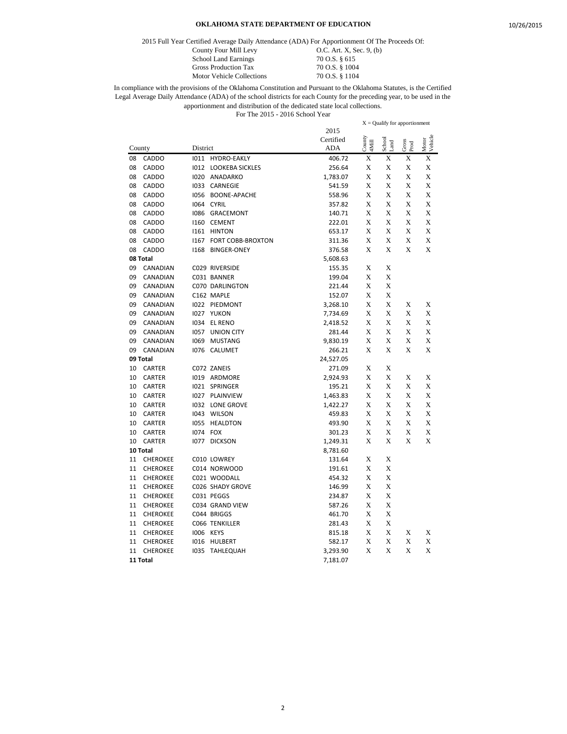2015 Full Year Certified Average Daily Attendance (ADA) For Apportionment Of The Proceeds Of:

Motor Vehicle Collections

County Four Mill Levy 0.C. Art. X, Sec. 9, (b) School Land Earnings 70 O.S. § 615<br>Gross Production Tax 70 O.S. § 1004 Gross Production Tax 70 O.S. § 1004<br>Motor Vehicle Collections 70 O.S. § 1104

|        |                 |          |                        |            | $X =$ Qualify for apportionment |                |               |                  |
|--------|-----------------|----------|------------------------|------------|---------------------------------|----------------|---------------|------------------|
|        |                 |          |                        | 2015       |                                 |                |               |                  |
|        |                 |          |                        | Certified  | County<br>4Mill                 | School<br>Land | Gross<br>Prod | Motor<br>Vehicle |
| County |                 | District |                        | <b>ADA</b> |                                 |                |               |                  |
| 08     | <b>CADDO</b>    | 1011     | <b>HYDRO-EAKLY</b>     | 406.72     | X                               | X              | X             | X                |
| 08     | <b>CADDO</b>    | 1012     | <b>LOOKEBA SICKLES</b> | 256.64     | X                               | X              | X             | X                |
| 08     | CADDO           | 1020     | ANADARKO               | 1,783.07   | X                               | X              | X             | X                |
| 08     | CADDO           | 1033     | CARNEGIE               | 541.59     | X                               | X              | X             | X                |
| 08     | CADDO           | 1056     | <b>BOONE-APACHE</b>    | 558.96     | Х                               | X              | X             | X                |
| 08     | CADDO           | 1064     | <b>CYRIL</b>           | 357.82     | X                               | X              | X             | X                |
| 08     | CADDO           | 1086     | GRACEMONT              | 140.71     | X                               | X              | X             | X                |
| 08     | CADDO           | 1160     | <b>CEMENT</b>          | 222.01     | X                               | X              | X             | X                |
| 08     | <b>CADDO</b>    | 1161     | <b>HINTON</b>          | 653.17     | X                               | X              | X             | X                |
| 08     | CADDO           | 1167     | FORT COBB-BROXTON      | 311.36     | X                               | X              | X             | X                |
| 08     | CADDO           | 1168     | <b>BINGER-ONEY</b>     | 376.58     | X                               | $\mathbf x$    | X             | X                |
|        | 08 Total        |          |                        | 5,608.63   |                                 |                |               |                  |
| 09     | CANADIAN        |          | C029 RIVERSIDE         | 155.35     | X                               | X              |               |                  |
| 09     | CANADIAN        |          | C031 BANNER            | 199.04     | X                               | X              |               |                  |
| 09     | CANADIAN        |          | C070 DARLINGTON        | 221.44     | X                               | X              |               |                  |
| 09     | CANADIAN        |          | C162 MAPLE             | 152.07     | X                               | X              |               |                  |
| 09     | CANADIAN        |          | 1022 PIEDMONT          | 3,268.10   | X                               | $\mathbf x$    | X             | X                |
| 09     | CANADIAN        |          | 1027 YUKON             | 7,734.69   | X                               | X              | X             | X                |
| 09     | CANADIAN        | 1034     | <b>EL RENO</b>         | 2,418.52   | X                               | X              | X             | X                |
| 09     | CANADIAN        | 1057     | UNION CITY             | 281.44     | X                               | X              | X             | X                |
| 09     | CANADIAN        | 1069     | <b>MUSTANG</b>         | 9,830.19   | X                               | X              | X             | X                |
| 09     | CANADIAN        | 1076     | CALUMET                | 266.21     | X                               | X              | X             | X                |
|        | 09 Total        |          |                        | 24,527.05  |                                 |                |               |                  |
| 10     | <b>CARTER</b>   |          | C072 ZANEIS            | 271.09     | X                               | X              |               |                  |
| 10     | <b>CARTER</b>   |          | 1019 ARDMORE           | 2,924.93   | Х                               | X              | X             | X                |
| 10     | <b>CARTER</b>   |          | <b>IO21 SPRINGER</b>   | 195.21     | X                               | X              | X             | X                |
| 10     | <b>CARTER</b>   | 1027     | PLAINVIEW              | 1,463.83   | X                               | X              | X             | X                |
| 10     | <b>CARTER</b>   | 1032     | <b>LONE GROVE</b>      | 1,422.27   | X                               | X              | X             | X                |
| 10     | <b>CARTER</b>   | 1043     | <b>WILSON</b>          | 459.83     | X                               | X              | X             | X                |
| 10     | <b>CARTER</b>   | 1055     | <b>HEALDTON</b>        | 493.90     | X                               | X              | X             | X                |
| 10     | <b>CARTER</b>   | 1074     | FOX                    | 301.23     | X                               | X              | X             | X                |
| 10     | <b>CARTER</b>   | 1077     | <b>DICKSON</b>         | 1,249.31   | X                               | $\mathbf x$    | X             | X                |
|        | 10 Total        |          |                        | 8,781.60   |                                 |                |               |                  |
| 11     | <b>CHEROKEE</b> |          | C010 LOWREY            | 131.64     | Х                               | X              |               |                  |
| 11     | <b>CHEROKEE</b> |          | C014 NORWOOD           | 191.61     | X                               | X              |               |                  |
| 11     | <b>CHEROKEE</b> |          | C021 WOODALL           | 454.32     | X                               | X              |               |                  |
| 11     | <b>CHEROKEE</b> |          | C026 SHADY GROVE       | 146.99     | X                               | X              |               |                  |
| 11     | <b>CHEROKEE</b> |          | C031 PEGGS             | 234.87     | X                               | X              |               |                  |
| 11     | <b>CHEROKEE</b> |          | C034 GRAND VIEW        | 587.26     | X                               | X              |               |                  |
| 11     | CHEROKEE        |          | C044 BRIGGS            | 461.70     | X                               | X              |               |                  |
| 11     | <b>CHEROKEE</b> |          | C066 TENKILLER         | 281.43     | X                               | X              |               |                  |
| 11     | <b>CHEROKEE</b> |          | 1006 KEYS              | 815.18     | X                               | X              | X             | X                |
| 11     | <b>CHEROKEE</b> | 1016     | HULBERT                | 582.17     | X                               | X              | X             | X                |
| 11     | <b>CHEROKEE</b> | 1035     | <b>TAHLEQUAH</b>       | 3,293.90   | X                               | $\mathbf x$    | X             | X                |
|        | 11 Total        |          |                        | 7,181.07   |                                 |                |               |                  |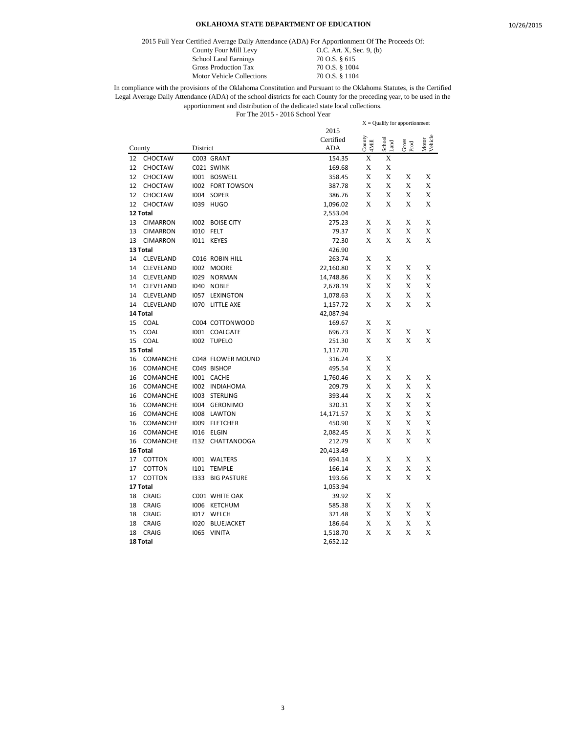2015 Full Year Certified Average Daily Attendance (ADA) For Apportionment Of The Proceeds Of:

Motor Vehicle Collections

County Four Mill Levy 0.C. Art. X, Sec. 9, (b) School Land Earnings 70 O.S. § 615<br>Gross Production Tax 70 O.S. § 1004 Gross Production Tax 70 O.S. § 1004<br>Motor Vehicle Collections 70 O.S. § 1104

| 2015<br>$\frac{County}{4Mill}$<br>Motor<br>Vehicle<br>Certified<br>School<br>Gross<br>Prod<br>Land<br><b>ADA</b><br>District<br>County<br>X<br>CHOCTAW<br>C003 GRANT<br>X<br>12<br>154.35<br>X<br>X<br>C021 SWINK<br>12<br>CHOCTAW<br>169.68<br>X<br>X<br>12<br>X<br>X<br><b>CHOCTAW</b><br>1001 BOSWELL<br>358.45<br>X<br>X<br>X<br>X<br>12<br>CHOCTAW<br>1002 FORT TOWSON<br>387.78<br>12<br><b>CHOCTAW</b><br>I004 SOPER<br>386.76<br>X<br>X<br>X<br>X<br>X<br>X<br>X<br>X<br>12<br><b>CHOCTAW</b><br>1039 HUGO<br>1,096.02<br>12 Total<br>2,553.04<br>X<br>X<br>X<br>X<br>13<br><b>CIMARRON</b><br>1002 BOISE CITY<br>275.23<br>X<br>X<br>X<br>X<br>13<br>1010 FELT<br>79.37<br><b>CIMARRON</b><br>X<br>X<br>X<br>X<br>13<br><b>CIMARRON</b><br>IO11 KEYES<br>72.30<br>13 Total<br>426.90<br>14<br>C016 ROBIN HILL<br>263.74<br>X<br>X<br>CLEVELAND<br>X<br>X<br>X<br>X<br>1002 MOORE<br>22,160.80<br>14<br>CLEVELAND<br>X<br>X<br>X<br>X<br>14<br>1029<br>CLEVELAND<br>NORMAN<br>14,748.86<br>X<br>X<br>X<br>X<br>14<br>CLEVELAND<br>1040<br><b>NOBLE</b><br>2,678.19<br>X<br>X<br>X<br>X<br>1057 LEXINGTON<br>1,078.63<br>14<br>CLEVELAND<br>X<br>X<br>X<br>X<br>14<br><b>CLEVELAND</b><br>1070 LITTLE AXE<br>1,157.72<br>14 Total<br>42,087.94<br>X<br>X<br>15<br><b>COAL</b><br>C004 COTTONWOOD<br>169.67<br>X<br>X<br>X<br>X<br>15<br><b>COAL</b><br>1001 COALGATE<br>696.73<br>X<br>X<br>X<br>X<br>15<br>COAL<br>1002 TUPELO<br>251.30<br>15 Total<br>1,117.70<br>X<br>X<br>16<br>COMANCHE<br>C048 FLOWER MOUND<br>316.24<br>C049 BISHOP<br>495.54<br>X<br>X<br>16<br>COMANCHE<br>X<br>X<br>X<br>X<br>COMANCHE<br>1001 CACHE<br>1,760.46<br>16<br>$\mathbf x$<br>X<br>X<br>X<br>16<br>COMANCHE<br>1002 INDIAHOMA<br>209.79<br>X<br>X<br>X<br>X<br>16<br>COMANCHE<br>1003<br>STERLING<br>393.44<br>X<br>X<br>X<br>X<br>COMANCHE<br>16<br>1004<br><b>GERONIMO</b><br>320.31<br>X<br>X<br>X<br>X<br>16<br>COMANCHE<br>1008<br>LAWTON<br>14,171.57<br>X<br>X<br>X<br>X<br>1009 FLETCHER<br>450.90<br>16<br>COMANCHE<br>X<br>X<br>X<br>X<br>16<br>COMANCHE<br>I016 ELGIN<br>2,082.45<br>X<br>X<br>X<br>X<br>COMANCHE<br>1132 CHATTANOOGA<br>212.79<br>16<br>16 Total<br>20,413.49<br>X<br>X<br>X<br>X<br>17<br>COTTON<br>1001 WALTERS<br>694.14<br>X<br>X<br>X<br>X<br>17<br>COTTON<br>1101<br><b>TEMPLE</b><br>166.14<br>X<br>X<br>17<br>X<br>X<br>COTTON<br>1333<br><b>BIG PASTURE</b><br>193.66<br>17 Total<br>1,053.94<br>X<br>X<br>18<br><b>CRAIG</b><br>C001 WHITE OAK<br>39.92<br>X<br>18<br><b>CRAIG</b><br>1006 KETCHUM<br>585.38<br>Х<br>X<br>X<br>X<br>X<br>X<br>X<br>18<br><b>CRAIG</b><br>1017 WELCH<br>321.48<br>X<br>X<br>X<br>X<br>18<br><b>CRAIG</b><br>1020<br><b>BLUEJACKET</b><br>186.64<br>X<br>X<br>X<br>X<br>18<br>CRAIG<br>VINITA<br>1065<br>1,518.70<br>18 Total<br>2,652.12 |  |  |  | $X =$ Qualify for apportionment |  |
|------------------------------------------------------------------------------------------------------------------------------------------------------------------------------------------------------------------------------------------------------------------------------------------------------------------------------------------------------------------------------------------------------------------------------------------------------------------------------------------------------------------------------------------------------------------------------------------------------------------------------------------------------------------------------------------------------------------------------------------------------------------------------------------------------------------------------------------------------------------------------------------------------------------------------------------------------------------------------------------------------------------------------------------------------------------------------------------------------------------------------------------------------------------------------------------------------------------------------------------------------------------------------------------------------------------------------------------------------------------------------------------------------------------------------------------------------------------------------------------------------------------------------------------------------------------------------------------------------------------------------------------------------------------------------------------------------------------------------------------------------------------------------------------------------------------------------------------------------------------------------------------------------------------------------------------------------------------------------------------------------------------------------------------------------------------------------------------------------------------------------------------------------------------------------------------------------------------------------------------------------------------------------------------------------------------------------------------------------------------------------------------------------------------------------------------------------------------------------------------------------------------------------------------------------------------------------------------------------------------------------------------------------------------------------------------------------------------------------------------------------------------------------------------------------------|--|--|--|---------------------------------|--|
|                                                                                                                                                                                                                                                                                                                                                                                                                                                                                                                                                                                                                                                                                                                                                                                                                                                                                                                                                                                                                                                                                                                                                                                                                                                                                                                                                                                                                                                                                                                                                                                                                                                                                                                                                                                                                                                                                                                                                                                                                                                                                                                                                                                                                                                                                                                                                                                                                                                                                                                                                                                                                                                                                                                                                                                                            |  |  |  |                                 |  |
|                                                                                                                                                                                                                                                                                                                                                                                                                                                                                                                                                                                                                                                                                                                                                                                                                                                                                                                                                                                                                                                                                                                                                                                                                                                                                                                                                                                                                                                                                                                                                                                                                                                                                                                                                                                                                                                                                                                                                                                                                                                                                                                                                                                                                                                                                                                                                                                                                                                                                                                                                                                                                                                                                                                                                                                                            |  |  |  |                                 |  |
|                                                                                                                                                                                                                                                                                                                                                                                                                                                                                                                                                                                                                                                                                                                                                                                                                                                                                                                                                                                                                                                                                                                                                                                                                                                                                                                                                                                                                                                                                                                                                                                                                                                                                                                                                                                                                                                                                                                                                                                                                                                                                                                                                                                                                                                                                                                                                                                                                                                                                                                                                                                                                                                                                                                                                                                                            |  |  |  |                                 |  |
|                                                                                                                                                                                                                                                                                                                                                                                                                                                                                                                                                                                                                                                                                                                                                                                                                                                                                                                                                                                                                                                                                                                                                                                                                                                                                                                                                                                                                                                                                                                                                                                                                                                                                                                                                                                                                                                                                                                                                                                                                                                                                                                                                                                                                                                                                                                                                                                                                                                                                                                                                                                                                                                                                                                                                                                                            |  |  |  |                                 |  |
|                                                                                                                                                                                                                                                                                                                                                                                                                                                                                                                                                                                                                                                                                                                                                                                                                                                                                                                                                                                                                                                                                                                                                                                                                                                                                                                                                                                                                                                                                                                                                                                                                                                                                                                                                                                                                                                                                                                                                                                                                                                                                                                                                                                                                                                                                                                                                                                                                                                                                                                                                                                                                                                                                                                                                                                                            |  |  |  |                                 |  |
|                                                                                                                                                                                                                                                                                                                                                                                                                                                                                                                                                                                                                                                                                                                                                                                                                                                                                                                                                                                                                                                                                                                                                                                                                                                                                                                                                                                                                                                                                                                                                                                                                                                                                                                                                                                                                                                                                                                                                                                                                                                                                                                                                                                                                                                                                                                                                                                                                                                                                                                                                                                                                                                                                                                                                                                                            |  |  |  |                                 |  |
|                                                                                                                                                                                                                                                                                                                                                                                                                                                                                                                                                                                                                                                                                                                                                                                                                                                                                                                                                                                                                                                                                                                                                                                                                                                                                                                                                                                                                                                                                                                                                                                                                                                                                                                                                                                                                                                                                                                                                                                                                                                                                                                                                                                                                                                                                                                                                                                                                                                                                                                                                                                                                                                                                                                                                                                                            |  |  |  |                                 |  |
|                                                                                                                                                                                                                                                                                                                                                                                                                                                                                                                                                                                                                                                                                                                                                                                                                                                                                                                                                                                                                                                                                                                                                                                                                                                                                                                                                                                                                                                                                                                                                                                                                                                                                                                                                                                                                                                                                                                                                                                                                                                                                                                                                                                                                                                                                                                                                                                                                                                                                                                                                                                                                                                                                                                                                                                                            |  |  |  |                                 |  |
|                                                                                                                                                                                                                                                                                                                                                                                                                                                                                                                                                                                                                                                                                                                                                                                                                                                                                                                                                                                                                                                                                                                                                                                                                                                                                                                                                                                                                                                                                                                                                                                                                                                                                                                                                                                                                                                                                                                                                                                                                                                                                                                                                                                                                                                                                                                                                                                                                                                                                                                                                                                                                                                                                                                                                                                                            |  |  |  |                                 |  |
|                                                                                                                                                                                                                                                                                                                                                                                                                                                                                                                                                                                                                                                                                                                                                                                                                                                                                                                                                                                                                                                                                                                                                                                                                                                                                                                                                                                                                                                                                                                                                                                                                                                                                                                                                                                                                                                                                                                                                                                                                                                                                                                                                                                                                                                                                                                                                                                                                                                                                                                                                                                                                                                                                                                                                                                                            |  |  |  |                                 |  |
|                                                                                                                                                                                                                                                                                                                                                                                                                                                                                                                                                                                                                                                                                                                                                                                                                                                                                                                                                                                                                                                                                                                                                                                                                                                                                                                                                                                                                                                                                                                                                                                                                                                                                                                                                                                                                                                                                                                                                                                                                                                                                                                                                                                                                                                                                                                                                                                                                                                                                                                                                                                                                                                                                                                                                                                                            |  |  |  |                                 |  |
|                                                                                                                                                                                                                                                                                                                                                                                                                                                                                                                                                                                                                                                                                                                                                                                                                                                                                                                                                                                                                                                                                                                                                                                                                                                                                                                                                                                                                                                                                                                                                                                                                                                                                                                                                                                                                                                                                                                                                                                                                                                                                                                                                                                                                                                                                                                                                                                                                                                                                                                                                                                                                                                                                                                                                                                                            |  |  |  |                                 |  |
|                                                                                                                                                                                                                                                                                                                                                                                                                                                                                                                                                                                                                                                                                                                                                                                                                                                                                                                                                                                                                                                                                                                                                                                                                                                                                                                                                                                                                                                                                                                                                                                                                                                                                                                                                                                                                                                                                                                                                                                                                                                                                                                                                                                                                                                                                                                                                                                                                                                                                                                                                                                                                                                                                                                                                                                                            |  |  |  |                                 |  |
|                                                                                                                                                                                                                                                                                                                                                                                                                                                                                                                                                                                                                                                                                                                                                                                                                                                                                                                                                                                                                                                                                                                                                                                                                                                                                                                                                                                                                                                                                                                                                                                                                                                                                                                                                                                                                                                                                                                                                                                                                                                                                                                                                                                                                                                                                                                                                                                                                                                                                                                                                                                                                                                                                                                                                                                                            |  |  |  |                                 |  |
|                                                                                                                                                                                                                                                                                                                                                                                                                                                                                                                                                                                                                                                                                                                                                                                                                                                                                                                                                                                                                                                                                                                                                                                                                                                                                                                                                                                                                                                                                                                                                                                                                                                                                                                                                                                                                                                                                                                                                                                                                                                                                                                                                                                                                                                                                                                                                                                                                                                                                                                                                                                                                                                                                                                                                                                                            |  |  |  |                                 |  |
|                                                                                                                                                                                                                                                                                                                                                                                                                                                                                                                                                                                                                                                                                                                                                                                                                                                                                                                                                                                                                                                                                                                                                                                                                                                                                                                                                                                                                                                                                                                                                                                                                                                                                                                                                                                                                                                                                                                                                                                                                                                                                                                                                                                                                                                                                                                                                                                                                                                                                                                                                                                                                                                                                                                                                                                                            |  |  |  |                                 |  |
|                                                                                                                                                                                                                                                                                                                                                                                                                                                                                                                                                                                                                                                                                                                                                                                                                                                                                                                                                                                                                                                                                                                                                                                                                                                                                                                                                                                                                                                                                                                                                                                                                                                                                                                                                                                                                                                                                                                                                                                                                                                                                                                                                                                                                                                                                                                                                                                                                                                                                                                                                                                                                                                                                                                                                                                                            |  |  |  |                                 |  |
|                                                                                                                                                                                                                                                                                                                                                                                                                                                                                                                                                                                                                                                                                                                                                                                                                                                                                                                                                                                                                                                                                                                                                                                                                                                                                                                                                                                                                                                                                                                                                                                                                                                                                                                                                                                                                                                                                                                                                                                                                                                                                                                                                                                                                                                                                                                                                                                                                                                                                                                                                                                                                                                                                                                                                                                                            |  |  |  |                                 |  |
|                                                                                                                                                                                                                                                                                                                                                                                                                                                                                                                                                                                                                                                                                                                                                                                                                                                                                                                                                                                                                                                                                                                                                                                                                                                                                                                                                                                                                                                                                                                                                                                                                                                                                                                                                                                                                                                                                                                                                                                                                                                                                                                                                                                                                                                                                                                                                                                                                                                                                                                                                                                                                                                                                                                                                                                                            |  |  |  |                                 |  |
|                                                                                                                                                                                                                                                                                                                                                                                                                                                                                                                                                                                                                                                                                                                                                                                                                                                                                                                                                                                                                                                                                                                                                                                                                                                                                                                                                                                                                                                                                                                                                                                                                                                                                                                                                                                                                                                                                                                                                                                                                                                                                                                                                                                                                                                                                                                                                                                                                                                                                                                                                                                                                                                                                                                                                                                                            |  |  |  |                                 |  |
|                                                                                                                                                                                                                                                                                                                                                                                                                                                                                                                                                                                                                                                                                                                                                                                                                                                                                                                                                                                                                                                                                                                                                                                                                                                                                                                                                                                                                                                                                                                                                                                                                                                                                                                                                                                                                                                                                                                                                                                                                                                                                                                                                                                                                                                                                                                                                                                                                                                                                                                                                                                                                                                                                                                                                                                                            |  |  |  |                                 |  |
|                                                                                                                                                                                                                                                                                                                                                                                                                                                                                                                                                                                                                                                                                                                                                                                                                                                                                                                                                                                                                                                                                                                                                                                                                                                                                                                                                                                                                                                                                                                                                                                                                                                                                                                                                                                                                                                                                                                                                                                                                                                                                                                                                                                                                                                                                                                                                                                                                                                                                                                                                                                                                                                                                                                                                                                                            |  |  |  |                                 |  |
|                                                                                                                                                                                                                                                                                                                                                                                                                                                                                                                                                                                                                                                                                                                                                                                                                                                                                                                                                                                                                                                                                                                                                                                                                                                                                                                                                                                                                                                                                                                                                                                                                                                                                                                                                                                                                                                                                                                                                                                                                                                                                                                                                                                                                                                                                                                                                                                                                                                                                                                                                                                                                                                                                                                                                                                                            |  |  |  |                                 |  |
|                                                                                                                                                                                                                                                                                                                                                                                                                                                                                                                                                                                                                                                                                                                                                                                                                                                                                                                                                                                                                                                                                                                                                                                                                                                                                                                                                                                                                                                                                                                                                                                                                                                                                                                                                                                                                                                                                                                                                                                                                                                                                                                                                                                                                                                                                                                                                                                                                                                                                                                                                                                                                                                                                                                                                                                                            |  |  |  |                                 |  |
|                                                                                                                                                                                                                                                                                                                                                                                                                                                                                                                                                                                                                                                                                                                                                                                                                                                                                                                                                                                                                                                                                                                                                                                                                                                                                                                                                                                                                                                                                                                                                                                                                                                                                                                                                                                                                                                                                                                                                                                                                                                                                                                                                                                                                                                                                                                                                                                                                                                                                                                                                                                                                                                                                                                                                                                                            |  |  |  |                                 |  |
|                                                                                                                                                                                                                                                                                                                                                                                                                                                                                                                                                                                                                                                                                                                                                                                                                                                                                                                                                                                                                                                                                                                                                                                                                                                                                                                                                                                                                                                                                                                                                                                                                                                                                                                                                                                                                                                                                                                                                                                                                                                                                                                                                                                                                                                                                                                                                                                                                                                                                                                                                                                                                                                                                                                                                                                                            |  |  |  |                                 |  |
|                                                                                                                                                                                                                                                                                                                                                                                                                                                                                                                                                                                                                                                                                                                                                                                                                                                                                                                                                                                                                                                                                                                                                                                                                                                                                                                                                                                                                                                                                                                                                                                                                                                                                                                                                                                                                                                                                                                                                                                                                                                                                                                                                                                                                                                                                                                                                                                                                                                                                                                                                                                                                                                                                                                                                                                                            |  |  |  |                                 |  |
|                                                                                                                                                                                                                                                                                                                                                                                                                                                                                                                                                                                                                                                                                                                                                                                                                                                                                                                                                                                                                                                                                                                                                                                                                                                                                                                                                                                                                                                                                                                                                                                                                                                                                                                                                                                                                                                                                                                                                                                                                                                                                                                                                                                                                                                                                                                                                                                                                                                                                                                                                                                                                                                                                                                                                                                                            |  |  |  |                                 |  |
|                                                                                                                                                                                                                                                                                                                                                                                                                                                                                                                                                                                                                                                                                                                                                                                                                                                                                                                                                                                                                                                                                                                                                                                                                                                                                                                                                                                                                                                                                                                                                                                                                                                                                                                                                                                                                                                                                                                                                                                                                                                                                                                                                                                                                                                                                                                                                                                                                                                                                                                                                                                                                                                                                                                                                                                                            |  |  |  |                                 |  |
|                                                                                                                                                                                                                                                                                                                                                                                                                                                                                                                                                                                                                                                                                                                                                                                                                                                                                                                                                                                                                                                                                                                                                                                                                                                                                                                                                                                                                                                                                                                                                                                                                                                                                                                                                                                                                                                                                                                                                                                                                                                                                                                                                                                                                                                                                                                                                                                                                                                                                                                                                                                                                                                                                                                                                                                                            |  |  |  |                                 |  |
|                                                                                                                                                                                                                                                                                                                                                                                                                                                                                                                                                                                                                                                                                                                                                                                                                                                                                                                                                                                                                                                                                                                                                                                                                                                                                                                                                                                                                                                                                                                                                                                                                                                                                                                                                                                                                                                                                                                                                                                                                                                                                                                                                                                                                                                                                                                                                                                                                                                                                                                                                                                                                                                                                                                                                                                                            |  |  |  |                                 |  |
|                                                                                                                                                                                                                                                                                                                                                                                                                                                                                                                                                                                                                                                                                                                                                                                                                                                                                                                                                                                                                                                                                                                                                                                                                                                                                                                                                                                                                                                                                                                                                                                                                                                                                                                                                                                                                                                                                                                                                                                                                                                                                                                                                                                                                                                                                                                                                                                                                                                                                                                                                                                                                                                                                                                                                                                                            |  |  |  |                                 |  |
|                                                                                                                                                                                                                                                                                                                                                                                                                                                                                                                                                                                                                                                                                                                                                                                                                                                                                                                                                                                                                                                                                                                                                                                                                                                                                                                                                                                                                                                                                                                                                                                                                                                                                                                                                                                                                                                                                                                                                                                                                                                                                                                                                                                                                                                                                                                                                                                                                                                                                                                                                                                                                                                                                                                                                                                                            |  |  |  |                                 |  |
|                                                                                                                                                                                                                                                                                                                                                                                                                                                                                                                                                                                                                                                                                                                                                                                                                                                                                                                                                                                                                                                                                                                                                                                                                                                                                                                                                                                                                                                                                                                                                                                                                                                                                                                                                                                                                                                                                                                                                                                                                                                                                                                                                                                                                                                                                                                                                                                                                                                                                                                                                                                                                                                                                                                                                                                                            |  |  |  |                                 |  |
|                                                                                                                                                                                                                                                                                                                                                                                                                                                                                                                                                                                                                                                                                                                                                                                                                                                                                                                                                                                                                                                                                                                                                                                                                                                                                                                                                                                                                                                                                                                                                                                                                                                                                                                                                                                                                                                                                                                                                                                                                                                                                                                                                                                                                                                                                                                                                                                                                                                                                                                                                                                                                                                                                                                                                                                                            |  |  |  |                                 |  |
|                                                                                                                                                                                                                                                                                                                                                                                                                                                                                                                                                                                                                                                                                                                                                                                                                                                                                                                                                                                                                                                                                                                                                                                                                                                                                                                                                                                                                                                                                                                                                                                                                                                                                                                                                                                                                                                                                                                                                                                                                                                                                                                                                                                                                                                                                                                                                                                                                                                                                                                                                                                                                                                                                                                                                                                                            |  |  |  |                                 |  |
|                                                                                                                                                                                                                                                                                                                                                                                                                                                                                                                                                                                                                                                                                                                                                                                                                                                                                                                                                                                                                                                                                                                                                                                                                                                                                                                                                                                                                                                                                                                                                                                                                                                                                                                                                                                                                                                                                                                                                                                                                                                                                                                                                                                                                                                                                                                                                                                                                                                                                                                                                                                                                                                                                                                                                                                                            |  |  |  |                                 |  |
|                                                                                                                                                                                                                                                                                                                                                                                                                                                                                                                                                                                                                                                                                                                                                                                                                                                                                                                                                                                                                                                                                                                                                                                                                                                                                                                                                                                                                                                                                                                                                                                                                                                                                                                                                                                                                                                                                                                                                                                                                                                                                                                                                                                                                                                                                                                                                                                                                                                                                                                                                                                                                                                                                                                                                                                                            |  |  |  |                                 |  |
|                                                                                                                                                                                                                                                                                                                                                                                                                                                                                                                                                                                                                                                                                                                                                                                                                                                                                                                                                                                                                                                                                                                                                                                                                                                                                                                                                                                                                                                                                                                                                                                                                                                                                                                                                                                                                                                                                                                                                                                                                                                                                                                                                                                                                                                                                                                                                                                                                                                                                                                                                                                                                                                                                                                                                                                                            |  |  |  |                                 |  |
|                                                                                                                                                                                                                                                                                                                                                                                                                                                                                                                                                                                                                                                                                                                                                                                                                                                                                                                                                                                                                                                                                                                                                                                                                                                                                                                                                                                                                                                                                                                                                                                                                                                                                                                                                                                                                                                                                                                                                                                                                                                                                                                                                                                                                                                                                                                                                                                                                                                                                                                                                                                                                                                                                                                                                                                                            |  |  |  |                                 |  |
|                                                                                                                                                                                                                                                                                                                                                                                                                                                                                                                                                                                                                                                                                                                                                                                                                                                                                                                                                                                                                                                                                                                                                                                                                                                                                                                                                                                                                                                                                                                                                                                                                                                                                                                                                                                                                                                                                                                                                                                                                                                                                                                                                                                                                                                                                                                                                                                                                                                                                                                                                                                                                                                                                                                                                                                                            |  |  |  |                                 |  |
|                                                                                                                                                                                                                                                                                                                                                                                                                                                                                                                                                                                                                                                                                                                                                                                                                                                                                                                                                                                                                                                                                                                                                                                                                                                                                                                                                                                                                                                                                                                                                                                                                                                                                                                                                                                                                                                                                                                                                                                                                                                                                                                                                                                                                                                                                                                                                                                                                                                                                                                                                                                                                                                                                                                                                                                                            |  |  |  |                                 |  |
|                                                                                                                                                                                                                                                                                                                                                                                                                                                                                                                                                                                                                                                                                                                                                                                                                                                                                                                                                                                                                                                                                                                                                                                                                                                                                                                                                                                                                                                                                                                                                                                                                                                                                                                                                                                                                                                                                                                                                                                                                                                                                                                                                                                                                                                                                                                                                                                                                                                                                                                                                                                                                                                                                                                                                                                                            |  |  |  |                                 |  |
|                                                                                                                                                                                                                                                                                                                                                                                                                                                                                                                                                                                                                                                                                                                                                                                                                                                                                                                                                                                                                                                                                                                                                                                                                                                                                                                                                                                                                                                                                                                                                                                                                                                                                                                                                                                                                                                                                                                                                                                                                                                                                                                                                                                                                                                                                                                                                                                                                                                                                                                                                                                                                                                                                                                                                                                                            |  |  |  |                                 |  |
|                                                                                                                                                                                                                                                                                                                                                                                                                                                                                                                                                                                                                                                                                                                                                                                                                                                                                                                                                                                                                                                                                                                                                                                                                                                                                                                                                                                                                                                                                                                                                                                                                                                                                                                                                                                                                                                                                                                                                                                                                                                                                                                                                                                                                                                                                                                                                                                                                                                                                                                                                                                                                                                                                                                                                                                                            |  |  |  |                                 |  |
|                                                                                                                                                                                                                                                                                                                                                                                                                                                                                                                                                                                                                                                                                                                                                                                                                                                                                                                                                                                                                                                                                                                                                                                                                                                                                                                                                                                                                                                                                                                                                                                                                                                                                                                                                                                                                                                                                                                                                                                                                                                                                                                                                                                                                                                                                                                                                                                                                                                                                                                                                                                                                                                                                                                                                                                                            |  |  |  |                                 |  |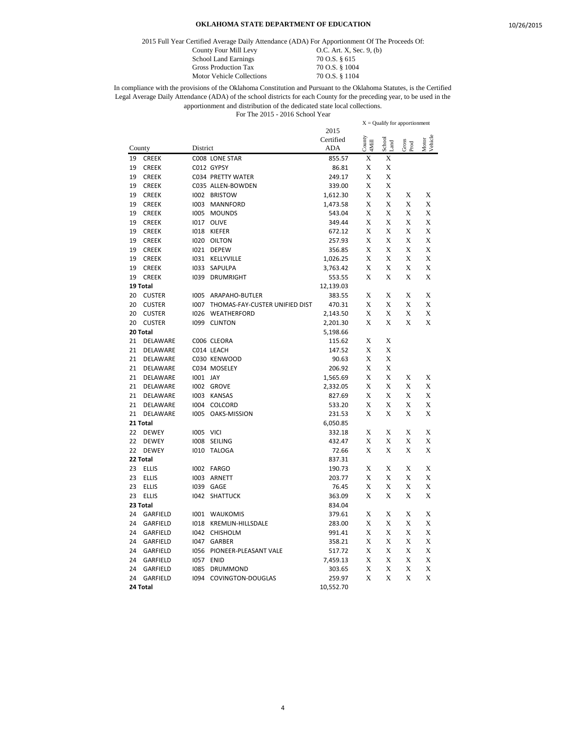2015 Full Year Certified Average Daily Attendance (ADA) For Apportionment Of The Proceeds Of:

Motor Vehicle Collections

County Four Mill Levy 0.C. Art. X, Sec. 9, (b) School Land Earnings 70 O.S. § 615<br>Gross Production Tax 70 O.S. § 1004 Gross Production Tax 70 O.S. § 1004<br>Motor Vehicle Collections 70 O.S. § 1104

|        |               |          |                                |           | $X =$ Qualify for apportionment |                |               |                  |
|--------|---------------|----------|--------------------------------|-----------|---------------------------------|----------------|---------------|------------------|
|        |               |          |                                | 2015      |                                 |                |               |                  |
|        |               |          |                                | Certified | County<br>4Mill                 | School<br>Land | Gross<br>Prod | Vehicle<br>Motor |
| County |               | District |                                | ADA       |                                 |                |               |                  |
| 19     | <b>CREEK</b>  |          | C008 LONE STAR                 | 855.57    | X                               | X              |               |                  |
| 19     | <b>CREEK</b>  |          | C012 GYPSY                     | 86.81     | X                               | X              |               |                  |
| 19     | <b>CREEK</b>  |          | C034 PRETTY WATER              | 249.17    | X                               | X              |               |                  |
| 19     | <b>CREEK</b>  |          | C035 ALLEN-BOWDEN              | 339.00    | X                               | X              |               |                  |
| 19     | <b>CREEK</b>  | 1002     | <b>BRISTOW</b>                 | 1,612.30  | X                               | X              | X             | X                |
| 19     | <b>CREEK</b>  | 1003     | <b>MANNFORD</b>                | 1,473.58  | X                               | X              | X             | X                |
| 19     | <b>CREEK</b>  | 1005     | <b>MOUNDS</b>                  | 543.04    | X                               | X              | X             | X                |
| 19     | <b>CREEK</b>  | 1017     | <b>OLIVE</b>                   | 349.44    | X                               | X              | X             | X                |
| 19     | <b>CREEK</b>  | 1018     | <b>KIEFER</b>                  | 672.12    | X                               | X              | X             | X                |
| 19     | <b>CREEK</b>  |          | 1020 OILTON                    | 257.93    | X                               | X              | X             | X                |
| 19     | <b>CREEK</b>  |          | I021 DEPEW                     | 356.85    | X                               | X              | X             | X                |
| 19     | <b>CREEK</b>  | 1031     | KELLYVILLE                     | 1,026.25  | X                               | X              | X             | X                |
| 19     | <b>CREEK</b>  | 1033     | SAPULPA                        | 3,763.42  | X                               | X              | X             | X                |
| 19     | <b>CREEK</b>  | 1039     | <b>DRUMRIGHT</b>               | 553.55    | X                               | X              | X             | X                |
|        | 19 Total      |          |                                | 12,139.03 |                                 |                |               |                  |
| 20     | <b>CUSTER</b> | 1005     | ARAPAHO-BUTLER                 | 383.55    | X                               | X              | X             | X                |
| 20     | <b>CUSTER</b> | 1007     | THOMAS-FAY-CUSTER UNIFIED DIST | 470.31    | X                               | X              | X             | X                |
| 20     | <b>CUSTER</b> | 1026     | WEATHERFORD                    | 2,143.50  | X                               | X              | X             | X                |
| 20     | <b>CUSTER</b> | 1099     | <b>CLINTON</b>                 | 2,201.30  | X                               | X              | X             | X                |
|        | 20 Total      |          |                                | 5,198.66  |                                 |                |               |                  |
| 21     | DELAWARE      |          | C006 CLEORA                    | 115.62    | X                               | X              |               |                  |
| 21     | DELAWARE      |          | C014 LEACH                     | 147.52    | X                               | X              |               |                  |
| 21     | DELAWARE      |          | C030 KENWOOD                   | 90.63     | X                               | X              |               |                  |
| 21     | DELAWARE      |          | C034 MOSELEY                   | 206.92    | X                               | X              |               |                  |
| 21     | DELAWARE      | 1001 JAY |                                | 1,565.69  | X                               | X              | X             | X                |
| 21     | DELAWARE      |          | 1002 GROVE                     | 2,332.05  | X                               | X              | X             | X                |
| 21     | DELAWARE      | 1003     | <b>KANSAS</b>                  | 827.69    | X                               | X              | X             | X                |
| 21     | DELAWARE      | 1004     | COLCORD                        | 533.20    | X                               | X              | X             | X                |
| 21     | DELAWARE      | 1005     | OAKS-MISSION                   | 231.53    | X                               | X              | X             | X                |
|        | 21 Total      |          |                                | 6,050.85  |                                 |                |               |                  |
| 22     | <b>DEWEY</b>  | 1005     | <b>VICI</b>                    | 332.18    | X                               | X              | X             | X                |
| 22     | <b>DEWEY</b>  | 1008     | SEILING                        | 432.47    | X                               | X              | X             | X                |
| 22     | <b>DEWEY</b>  |          | <b>I010 TALOGA</b>             | 72.66     | X                               | X              | X             | X                |
|        | 22 Total      |          |                                | 837.31    |                                 |                |               |                  |
| 23     | <b>ELLIS</b>  | 1002     | <b>FARGO</b>                   | 190.73    | X                               | X              | X             | X                |
| 23     | <b>ELLIS</b>  | 1003     | ARNETT                         | 203.77    | X                               | X              | X             | X                |
| 23     | <b>ELLIS</b>  | 1039     | GAGE                           | 76.45     | X                               | X              | X             | X                |
| 23     | <b>ELLIS</b>  | 1042     | <b>SHATTUCK</b>                | 363.09    | X                               | X              | X             | X                |
|        | 23 Total      |          |                                | 834.04    |                                 |                |               |                  |
| 24     | GARFIELD      | 1001     | WAUKOMIS                       | 379.61    | X                               | X              | X             | X                |
| 24     | GARFIELD      | 1018     | <b>KREMLIN-HILLSDALE</b>       | 283.00    | X                               | X              | X             | X                |
| 24     | GARFIELD      | 1042     | CHISHOLM                       | 991.41    | X                               | X              | X             | X                |
| 24     | GARFIELD      | 1047     | GARBER                         | 358.21    | X                               | X              | X             | X                |
| 24     | GARFIELD      | 1056     | PIONEER-PLEASANT VALE          | 517.72    | X                               | X              | X             | X                |
| 24     | GARFIELD      | 1057     | <b>ENID</b>                    | 7,459.13  | X                               | X              | X             | X                |
| 24     | GARFIELD      | 1085     | DRUMMOND                       | 303.65    | X                               | X              | X             | X                |
| 24     | GARFIELD      | 1094     | COVINGTON-DOUGLAS              | 259.97    | X                               | X              | X             | X                |
|        | 24 Total      |          |                                | 10,552.70 |                                 |                |               |                  |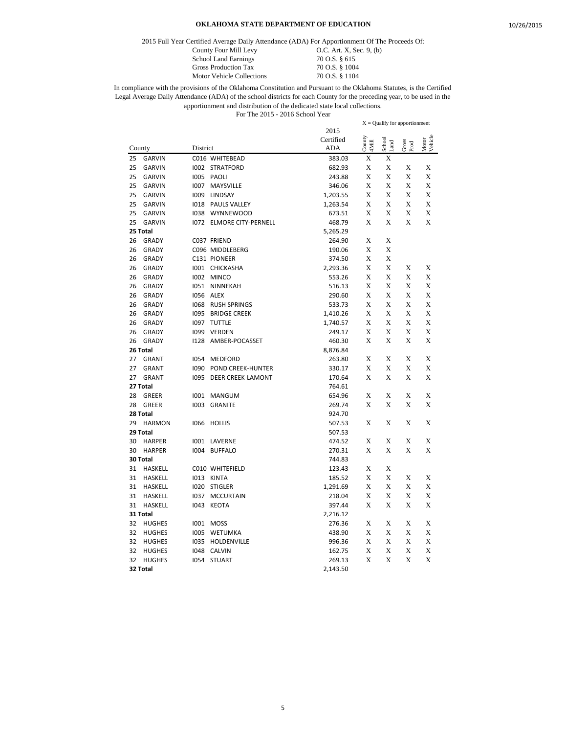2015 Full Year Certified Average Daily Attendance (ADA) For Apportionment Of The Proceeds Of:

Motor Vehicle Collections

County Four Mill Levy 0.C. Art. X, Sec. 9, (b) School Land Earnings 70 O.S. § 615<br>Gross Production Tax 70 O.S. § 1004 Gross Production Tax 70 O.S. § 1004<br>Motor Vehicle Collections 70 O.S. § 1104

|        | $X =$ Qualify for apportionment |          |                          |            |                 |                |               |                  |
|--------|---------------------------------|----------|--------------------------|------------|-----------------|----------------|---------------|------------------|
|        |                                 |          |                          | 2015       |                 |                |               |                  |
|        |                                 |          |                          | Certified  | County<br>4Mill | School<br>Land | Gross<br>Prod | Motor<br>Vehicle |
| County |                                 | District |                          | <b>ADA</b> |                 |                |               |                  |
| 25     | <b>GARVIN</b>                   |          | C016 WHITEBEAD           | 383.03     | X               | Х              |               |                  |
| 25     | <b>GARVIN</b>                   |          | 1002 STRATFORD           | 682.93     | X               | X              | Х             | X                |
| 25     | <b>GARVIN</b>                   |          | 1005 PAOLI               | 243.88     | X               | X              | X             | X                |
| 25     | <b>GARVIN</b>                   |          | 1007 MAYSVILLE           | 346.06     | X               | X              | X             | X                |
| 25     | <b>GARVIN</b>                   |          | 1009 LINDSAY             | 1,203.55   | X               | X              | X             | X                |
| 25     | <b>GARVIN</b>                   |          | 1018 PAULS VALLEY        | 1,263.54   | X               | X              | X             | X                |
| 25     | <b>GARVIN</b>                   | 1038     | <b>WYNNEWOOD</b>         | 673.51     | X               | X              | X             | X                |
| 25     | <b>GARVIN</b>                   |          | 1072 ELMORE CITY-PERNELL | 468.79     | X               | X              | X             | X                |
|        | 25 Total                        |          |                          | 5,265.29   |                 |                |               |                  |
| 26     | <b>GRADY</b>                    |          | C037 FRIEND              | 264.90     | X               | X              |               |                  |
| 26     | <b>GRADY</b>                    |          | C096 MIDDLEBERG          | 190.06     | X               | X              |               |                  |
| 26     | GRADY                           |          | C131 PIONEER             | 374.50     | X               | X              |               |                  |
| 26     | <b>GRADY</b>                    |          | 1001 CHICKASHA           | 2,293.36   | X               | X              | X             | X                |
| 26     | <b>GRADY</b>                    |          | 1002 MINCO               | 553.26     | X               | X              | X             | X                |
| 26     | GRADY                           | 1051     | NINNEKAH                 | 516.13     | X               | X              | X             | X                |
| 26     | GRADY                           | 1056     | ALEX                     | 290.60     | X               | X              | X             | X                |
| 26     | <b>GRADY</b>                    | 1068     | RUSH SPRINGS             | 533.73     | X               | X              | X             | X                |
| 26     | <b>GRADY</b>                    | 1095     | <b>BRIDGE CREEK</b>      | 1,410.26   | X               | X              | X             | X                |
| 26     | <b>GRADY</b>                    | 1097     | <b>TUTTLE</b>            | 1,740.57   | X               | X              | X             | X                |
| 26     | <b>GRADY</b>                    | 1099     | VERDEN                   | 249.17     | X               | X              | X             | X                |
| 26     | <b>GRADY</b>                    | 1128     | AMBER-POCASSET           | 460.30     | X               | X              | X             | X                |
|        | 26 Total                        |          |                          | 8,876.84   |                 |                |               |                  |
| 27     | <b>GRANT</b>                    | 1054     | <b>MEDFORD</b>           | 263.80     | X               | X              | X             | X                |
| 27     | <b>GRANT</b>                    | 1090     | POND CREEK-HUNTER        | 330.17     | X               | X              | X             | X                |
| 27     | <b>GRANT</b>                    | 1095     | <b>DEER CREEK-LAMONT</b> | 170.64     | X               | X              | X             | X                |
|        | 27 Total                        |          |                          | 764.61     |                 |                |               |                  |
| 28     | GREER                           | 1001     | <b>MANGUM</b>            | 654.96     | X               | X              | X             | X                |
| 28     | <b>GREER</b>                    | 1003     | <b>GRANITE</b>           | 269.74     | X               | X              | X             | X                |
|        | 28 Total                        |          |                          | 924.70     |                 |                |               |                  |
| 29     | <b>HARMON</b>                   | 1066     |                          |            | X               | X              | X             | X                |
|        | 29 Total                        |          | <b>HOLLIS</b>            | 507.53     |                 |                |               |                  |
|        |                                 |          |                          | 507.53     |                 |                |               |                  |
| 30     | <b>HARPER</b>                   |          | 1001 LAVERNE             | 474.52     | X               | X<br>X         | X             | X                |
| 30     | <b>HARPER</b>                   |          | 1004 BUFFALO             | 270.31     | X               |                | X             | X                |
|        | 30 Total                        |          |                          | 744.83     |                 |                |               |                  |
| 31     | <b>HASKELL</b>                  |          | C010 WHITEFIELD          | 123.43     | X               | X              |               |                  |
| 31     | <b>HASKELL</b>                  |          | 1013 KINTA               | 185.52     | X               | X              | X             | X                |
| 31     | <b>HASKELL</b>                  |          | <b>IO2O STIGLER</b>      | 1,291.69   | X               | X              | X             | X                |
| 31     | <b>HASKELL</b>                  | 1037     | <b>MCCURTAIN</b>         | 218.04     | X               | X              | X             | X                |
| 31     | <b>HASKELL</b>                  | 1043     | <b>KEOTA</b>             | 397.44     | X               | X              | X             | X                |
|        | 31 Total                        |          |                          | 2,216.12   |                 |                |               |                  |
| 32     | <b>HUGHES</b>                   |          | 1001 MOSS                | 276.36     | X               | X              | X             | X                |
| 32     | <b>HUGHES</b>                   | 1005     | WETUMKA                  | 438.90     | X               | X              | X             | X                |
| 32     | <b>HUGHES</b>                   | 1035     | HOLDENVILLE              | 996.36     | X               | X              | X             | X                |
| 32     | <b>HUGHES</b>                   | 1048     | <b>CALVIN</b>            | 162.75     | X               | X              | X             | X                |
| 32     | <b>HUGHES</b>                   | 1054     | <b>STUART</b>            | 269.13     | X               | X              | X             | X                |
|        | 32 Total                        |          |                          | 2,143.50   |                 |                |               |                  |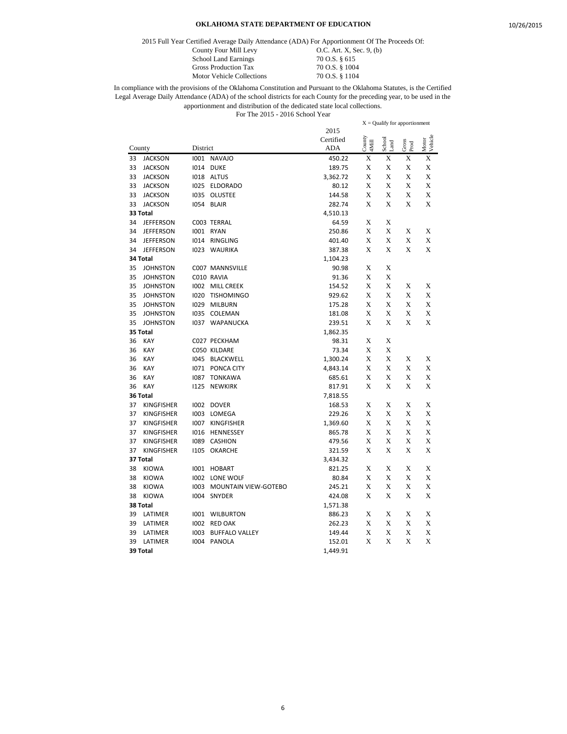2015 Full Year Certified Average Daily Attendance (ADA) For Apportionment Of The Proceeds Of:

School Land Earnings 70 O.S. § 615<br>Gross Production Tax 70 O.S. § 1004 Gross Production Tax 70 O.S. § 1004<br>Motor Vehicle Collections 70 O.S. § 1104 Motor Vehicle Collections

County Four Mill Levy 0.C. Art. X, Sec. 9, (b)

|        |                   |          |                       |            | $X =$ Qualify for apportionment     |                              |               |                  |
|--------|-------------------|----------|-----------------------|------------|-------------------------------------|------------------------------|---------------|------------------|
|        |                   |          |                       | 2015       |                                     |                              |               |                  |
|        |                   |          |                       | Certified  | $\frac{\text{Country}}{\text{4MH}}$ | ${\rm School} \\ {\rm Land}$ | Gross<br>Prod | Motor<br>Vehicle |
| County |                   | District |                       | <b>ADA</b> |                                     |                              |               |                  |
| 33     | <b>JACKSON</b>    |          | 1001 NAVAJO           | 450.22     | X                                   | X                            | X             | X                |
| 33     | <b>JACKSON</b>    | 1014     | <b>DUKE</b>           | 189.75     | X                                   | X                            | X             | X                |
| 33     | <b>JACKSON</b>    |          | 1018 ALTUS            | 3,362.72   | X                                   | X                            | X             | X                |
| 33     | <b>JACKSON</b>    | 1025     | <b>ELDORADO</b>       | 80.12      | X                                   | X                            | X             | X                |
| 33     | <b>JACKSON</b>    |          | 1035 OLUSTEE          | 144.58     | X                                   | X                            | X             | X                |
| 33     | <b>JACKSON</b>    | 1054     | <b>BLAIR</b>          | 282.74     | X                                   | X                            | X             | X                |
|        | 33 Total          |          |                       | 4,510.13   |                                     |                              |               |                  |
| 34     | <b>JEFFERSON</b>  |          | C003 TERRAL           | 64.59      | X                                   | X                            |               |                  |
| 34     | <b>JEFFERSON</b>  |          | 1001 RYAN             | 250.86     | X                                   | X                            | X             | X                |
| 34     | <b>JEFFERSON</b>  |          | 1014 RINGLING         | 401.40     | X                                   | X                            | X             | X                |
| 34     | <b>JEFFERSON</b>  | 1023     | <b>WAURIKA</b>        | 387.38     | X                                   | X                            | X             | X                |
|        | 34 Total          |          |                       | 1,104.23   |                                     |                              |               |                  |
| 35     | <b>JOHNSTON</b>   |          | C007 MANNSVILLE       | 90.98      | X                                   | X                            |               |                  |
| 35     | <b>JOHNSTON</b>   |          | C010 RAVIA            | 91.36      | X                                   | X                            |               |                  |
| 35     | <b>JOHNSTON</b>   |          | 1002 MILL CREEK       | 154.52     | X                                   | X                            | X             | X                |
| 35     | <b>JOHNSTON</b>   | 1020     | <b>TISHOMINGO</b>     | 929.62     | X                                   | X                            | X             | X                |
| 35     | <b>JOHNSTON</b>   | 1029     | <b>MILBURN</b>        | 175.28     | X                                   | X                            | X             | X                |
| 35     | <b>JOHNSTON</b>   | 1035     | COLEMAN               | 181.08     | X                                   | X                            | X             | X                |
| 35     | <b>JOHNSTON</b>   | 1037     | WAPANUCKA             | 239.51     | X                                   | X                            | X             | X                |
|        | 35 Total          |          |                       | 1,862.35   |                                     |                              |               |                  |
| 36     | <b>KAY</b>        |          | C027 PECKHAM          | 98.31      | X                                   | X                            |               |                  |
| 36     | <b>KAY</b>        |          | C050 KILDARE          | 73.34      | X                                   | X                            |               |                  |
| 36     | <b>KAY</b>        | 1045     | <b>BLACKWELL</b>      | 1,300.24   | X                                   | X                            | X             | X                |
| 36     | <b>KAY</b>        | 1071     | PONCA CITY            | 4,843.14   | X                                   | X                            | X             | X                |
| 36     | <b>KAY</b>        | 1087     | <b>TONKAWA</b>        | 685.61     | X                                   | X                            | X             | X                |
| 36     | <b>KAY</b>        | 1125     | <b>NEWKIRK</b>        | 817.91     | X                                   | $\mathbf x$                  | X             | X                |
|        | 36 Total          |          |                       | 7,818.55   |                                     |                              |               |                  |
| 37     | <b>KINGFISHER</b> |          | 1002 DOVER            | 168.53     | X                                   | X                            | X             | X                |
| 37     | <b>KINGFISHER</b> |          | 1003 LOMEGA           | 229.26     | X                                   | X                            | X             | X                |
| 37     | <b>KINGFISHER</b> | 1007     | <b>KINGFISHER</b>     | 1,369.60   | X                                   | X                            | X             | X                |
| 37     | <b>KINGFISHER</b> | 1016     | HENNESSEY             | 865.78     | X                                   | X                            | X             | X                |
| 37     | <b>KINGFISHER</b> | 1089     | <b>CASHION</b>        | 479.56     | X                                   | X                            | X             | X                |
| 37     | <b>KINGFISHER</b> | 1105     | <b>OKARCHE</b>        | 321.59     | X                                   | X                            | X             | X                |
|        | 37 Total          |          |                       | 3,434.32   |                                     |                              |               |                  |
| 38     | <b>KIOWA</b>      |          | 1001 HOBART           | 821.25     | X                                   | X                            | X             | X                |
| 38     | <b>KIOWA</b>      | 1002     | LONE WOLF             | 80.84      | X                                   | X                            | X             | X                |
| 38     | <b>KIOWA</b>      | 1003     | MOUNTAIN VIEW-GOTEBO  | 245.21     | X                                   | X                            | X             | X                |
| 38     | <b>KIOWA</b>      | 1004     | SNYDER                | 424.08     | X                                   | X                            | X             | X                |
|        | 38 Total          |          |                       | 1,571.38   |                                     |                              |               |                  |
| 39     | LATIMER           | 1001     | WILBURTON             | 886.23     | X                                   | X                            | X             | X                |
| 39     | LATIMER           | 1002     | <b>RED OAK</b>        | 262.23     | X                                   | X                            | Х             | X                |
| 39     | LATIMER           | 1003     | <b>BUFFALO VALLEY</b> | 149.44     | X                                   | X                            | X             | X                |
| 39     | LATIMER           | 1004     | PANOLA                | 152.01     | X                                   | X                            | X             | X                |
|        | 39 Total          |          |                       | 1,449.91   |                                     |                              |               |                  |
|        |                   |          |                       |            |                                     |                              |               |                  |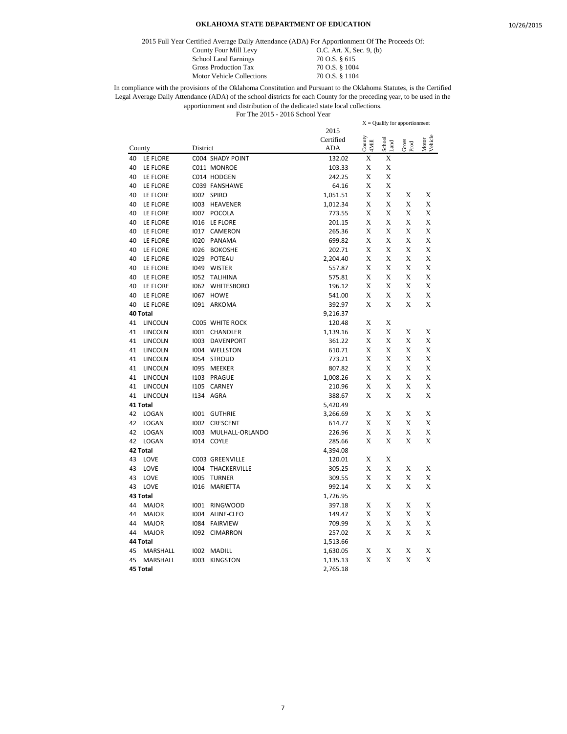2015 Full Year Certified Average Daily Attendance (ADA) For Apportionment Of The Proceeds Of:

Motor Vehicle Collections

County Four Mill Levy 0.C. Art. X, Sec. 9, (b) School Land Earnings 70 O.S. § 615<br>Gross Production Tax 70 O.S. § 1004 Gross Production Tax 70 O.S. § 1004<br>Motor Vehicle Collections 70 O.S. § 1104

|    |                |          |                   |            |                 | $X =$ Qualify for apportionment |               |                  |
|----|----------------|----------|-------------------|------------|-----------------|---------------------------------|---------------|------------------|
|    |                |          |                   | 2015       |                 |                                 |               |                  |
|    |                |          |                   | Certified  | County<br>4Mill | School<br>Land                  | Gross<br>Prod | Motor<br>Vehicle |
|    | County         | District |                   | <b>ADA</b> |                 |                                 |               |                  |
| 40 | LE FLORE       |          | C004 SHADY POINT  | 132.02     | Х               | X                               |               |                  |
| 40 | LE FLORE       |          | C011 MONROE       | 103.33     | X               | X                               |               |                  |
| 40 | LE FLORE       |          | C014 HODGEN       | 242.25     | X               | X                               |               |                  |
| 40 | LE FLORE       |          | C039 FANSHAWE     | 64.16      | X               | X                               |               |                  |
| 40 | LE FLORE       | 1002     | <b>SPIRO</b>      | 1,051.51   | X               | X                               | X             | X                |
| 40 | LE FLORE       | 1003     | HEAVENER          | 1,012.34   | X               | X                               | X             | X                |
| 40 | LE FLORE       | 1007     | POCOLA            | 773.55     | X               | X                               | X             | X                |
| 40 | LE FLORE       | 1016     | LE FLORE          | 201.15     | X               | X                               | X             | X                |
| 40 | LE FLORE       | 1017     | CAMERON           | 265.36     | X               | X                               | X             | X                |
| 40 | LE FLORE       | 1020     | PANAMA            | 699.82     | X               | X                               | X             | X                |
| 40 | LE FLORE       | 1026     | <b>BOKOSHE</b>    | 202.71     | X               | X                               | X             | X                |
| 40 | LE FLORE       | 1029     | POTEAU            | 2,204.40   | X               | X                               | X             | X                |
| 40 | LE FLORE       | 1049     | <b>WISTER</b>     | 557.87     | X               | X                               | X             | X                |
| 40 | LE FLORE       | 1052     | <b>TALIHINA</b>   | 575.81     | X               | X                               | X             | X                |
| 40 | LE FLORE       | 1062     | <b>WHITESBORO</b> | 196.12     | X               | X                               | X             | X                |
| 40 | LE FLORE       | 1067     | <b>HOWE</b>       | 541.00     | X               | X                               | X             | X                |
| 40 | LE FLORE       | 1091     | ARKOMA            | 392.97     | X               | X                               | X             | X                |
|    | 40 Total       |          |                   | 9,216.37   |                 |                                 |               |                  |
| 41 | <b>LINCOLN</b> |          | C005 WHITE ROCK   | 120.48     | X               | X                               |               |                  |
| 41 | LINCOLN        | 1001     | CHANDLER          | 1,139.16   | Х               | X                               | X             | X                |
| 41 | <b>LINCOLN</b> | 1003     | <b>DAVENPORT</b>  | 361.22     | X               | X                               | Х             | X                |
| 41 | <b>LINCOLN</b> | 1004     | WELLSTON          | 610.71     | X               | X                               | X             | X                |
| 41 | <b>LINCOLN</b> | 1054     | <b>STROUD</b>     | 773.21     | Х               | X                               | X             | X                |
| 41 | LINCOLN        | 1095     | MEEKER            | 807.82     | X               | X                               | X             | X                |
| 41 | LINCOLN        | 1103     | PRAGUE            | 1,008.26   | X               | X                               | X             | X                |
| 41 | LINCOLN        | 1105     | <b>CARNEY</b>     | 210.96     | X               | X                               | X             | X                |
| 41 | LINCOLN        | 1134     | <b>AGRA</b>       | 388.67     | X               | X                               | X             | X                |
|    | 41 Total       |          |                   | 5,420.49   |                 |                                 |               |                  |
| 42 | LOGAN          | 1001     | <b>GUTHRIE</b>    | 3,266.69   | X               | X                               | X             | X                |
| 42 | LOGAN          | 1002     | <b>CRESCENT</b>   | 614.77     | X               | X                               | X             | X                |
| 42 | LOGAN          | 1003     | MULHALL-ORLANDO   | 226.96     | Х               | X                               | Х             | X                |
| 42 | LOGAN          | 1014     | <b>COYLE</b>      | 285.66     | X               | X                               | X             | X                |
|    | 42 Total       |          |                   | 4,394.08   |                 |                                 |               |                  |
| 43 | LOVE           |          | C003 GREENVILLE   | 120.01     | X               | X                               |               |                  |
| 43 | LOVE           | 1004     | THACKERVILLE      | 305.25     | X               | X                               | X             | X                |
| 43 | LOVE           | 1005     | <b>TURNER</b>     | 309.55     | X               | X                               | X             | X                |
| 43 | LOVE           | 1016     | <b>MARIETTA</b>   | 992.14     | X               | X                               | X             | X                |
|    | 43 Total       |          |                   | 1,726.95   |                 |                                 |               |                  |
| 44 | <b>MAJOR</b>   | 1001     | <b>RINGWOOD</b>   | 397.18     | X               | X                               | X             | X                |
| 44 | <b>MAJOR</b>   | 1004     | ALINE-CLEO        | 149.47     | X               | X                               | X             | X                |
| 44 | <b>MAJOR</b>   | 1084     | <b>FAIRVIEW</b>   | 709.99     | Х               | X                               | Х             | Х                |
| 44 | <b>MAJOR</b>   | 1092     | <b>CIMARRON</b>   | 257.02     | Х               | X                               | X             | X                |
|    | 44 Total       |          |                   | 1,513.66   |                 |                                 |               |                  |
| 45 | MARSHALL       | 1002     | <b>MADILL</b>     | 1,630.05   | X               | Х                               | Х             | X                |
| 45 | MARSHALL       | 1003     | <b>KINGSTON</b>   | 1,135.13   | X               | X                               | X             | X                |
|    | 45 Total       |          |                   | 2,765.18   |                 |                                 |               |                  |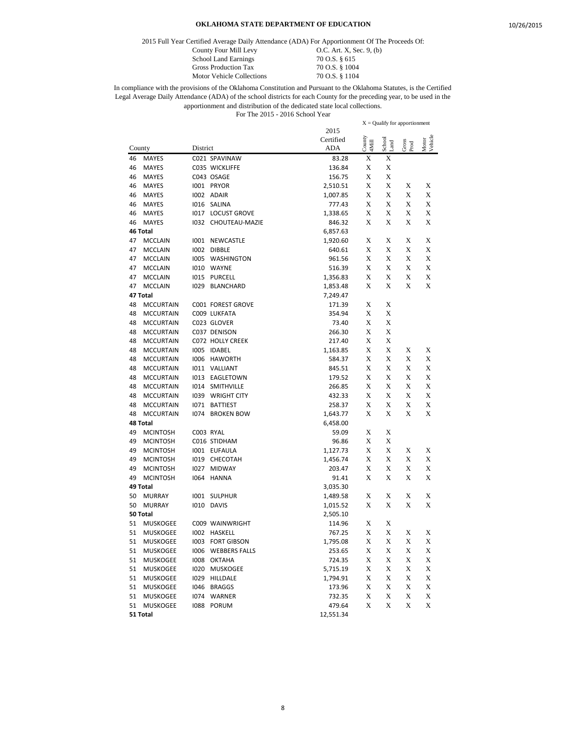2015 Full Year Certified Average Daily Attendance (ADA) For Apportionment Of The Proceeds Of:

Motor Vehicle Collections

County Four Mill Levy 0.C. Art. X, Sec. 9, (b) School Land Earnings 70 O.S. § 615<br>Gross Production Tax 70 O.S. § 1004 Gross Production Tax 70 O.S. § 1004<br>Motor Vehicle Collections 70 O.S. § 1104

|        |                  |          |                      |                  |                 | $X =$ Qualify for apportionment |               |                  |
|--------|------------------|----------|----------------------|------------------|-----------------|---------------------------------|---------------|------------------|
|        |                  |          |                      | 2015             |                 |                                 |               |                  |
| County |                  |          |                      | Certified<br>ADA | County<br>4Mill | School<br>Land                  | Gross<br>Prod | Motor<br>Vehicle |
|        |                  | District |                      |                  |                 |                                 |               |                  |
| 46     | <b>MAYES</b>     |          | C021 SPAVINAW        | 83.28            | X               | X                               |               |                  |
| 46     | MAYES            |          | C035 WICKLIFFE       | 136.84           | X               | X                               |               |                  |
| 46     | <b>MAYES</b>     |          | C043 OSAGE           | 156.75           | X               | X                               |               |                  |
| 46     | <b>MAYES</b>     |          | 1001 PRYOR           | 2,510.51         | X               | X                               | X             | X                |
| 46     | <b>MAYES</b>     |          | 1002 ADAIR           | 1,007.85         | X               | X                               | Х             | X                |
| 46     | <b>MAYES</b>     |          | I016 SALINA          | 777.43           | X               | X                               | X             | X                |
| 46     | <b>MAYES</b>     |          | 1017 LOCUST GROVE    | 1,338.65         | X               | X                               | X             | X                |
| 46     | <b>MAYES</b>     |          | 1032 CHOUTEAU-MAZIE  | 846.32           | X               | X                               | X             | X                |
|        | 46 Total         |          |                      | 6,857.63         |                 |                                 |               |                  |
| 47     | <b>MCCLAIN</b>   |          | 1001 NEWCASTLE       | 1,920.60         | X               | X                               | Х             | X                |
| 47     | <b>MCCLAIN</b>   | 1002     | <b>DIBBLE</b>        | 640.61           | X               | X                               | X             | X                |
| 47     | <b>MCCLAIN</b>   | 1005     | WASHINGTON           | 961.56           | X               | X                               | X             | X                |
| 47     | MCCLAIN          |          | I010 WAYNE           | 516.39           | X               | X                               | X             | X                |
| 47     | <b>MCCLAIN</b>   | 1015     | PURCELL              | 1,356.83         | X               | X                               | X             | X                |
| 47     | <b>MCCLAIN</b>   |          | 1029 BLANCHARD       | 1,853.48         | X               | X                               | X             | X                |
|        | 47 Total         |          |                      | 7,249.47         |                 |                                 |               |                  |
| 48     | <b>MCCURTAIN</b> |          | C001 FOREST GROVE    | 171.39           | X               | X                               |               |                  |
| 48     | <b>MCCURTAIN</b> |          | C009 LUKFATA         | 354.94           | X               | X                               |               |                  |
| 48     | <b>MCCURTAIN</b> |          | C023 GLOVER          | 73.40            | X               | X                               |               |                  |
| 48     | <b>MCCURTAIN</b> |          | C037 DENISON         | 266.30           | X               | X                               |               |                  |
| 48     | <b>MCCURTAIN</b> |          | C072 HOLLY CREEK     | 217.40           | X               | X                               |               |                  |
| 48     | <b>MCCURTAIN</b> | 1005     | <b>IDABEL</b>        | 1,163.85         | X               | X                               | X             | X                |
| 48     | <b>MCCURTAIN</b> | 1006     | <b>HAWORTH</b>       | 584.37           | X               | X                               | X             | X                |
| 48     | <b>MCCURTAIN</b> |          | <b>I011 VALLIANT</b> | 845.51           | X               | X                               | X             | X                |
| 48     | <b>MCCURTAIN</b> |          | 1013 EAGLETOWN       | 179.52           | X               | X                               | X             | X                |
| 48     | <b>MCCURTAIN</b> |          | 1014 SMITHVILLE      | 266.85           | X               | X                               | X             | X                |
| 48     | <b>MCCURTAIN</b> | 1039     | <b>WRIGHT CITY</b>   | 432.33           | X               | X                               | X             | X                |
| 48     | <b>MCCURTAIN</b> | 1071     | <b>BATTIEST</b>      | 258.37           | X               | X                               | X             | X                |
| 48     | <b>MCCURTAIN</b> | 1074     | <b>BROKEN BOW</b>    | 1,643.77         | X               | X                               | X             | X                |
|        | 48 Total         |          |                      | 6,458.00         |                 |                                 |               |                  |
| 49     | <b>MCINTOSH</b>  |          | C003 RYAL            | 59.09            | X               | X                               |               |                  |
| 49     | <b>MCINTOSH</b>  |          | C016 STIDHAM         | 96.86            | X               | X                               |               |                  |
| 49     | <b>MCINTOSH</b>  |          | 1001 EUFAULA         | 1,127.73         | X               | X                               | X             | X                |
| 49     | <b>MCINTOSH</b>  |          | 1019 CHECOTAH        | 1,456.74         | X               | X                               | X             | X                |
| 49     | <b>MCINTOSH</b>  | 1027     | <b>MIDWAY</b>        | 203.47           | Х               | X                               | X             | X                |
| 49     | <b>MCINTOSH</b>  | 1064     | <b>HANNA</b>         | 91.41            | X               | X                               | X             | X                |
|        | 49 Total         |          |                      | 3,035.30         |                 |                                 |               |                  |
| 50     | <b>MURRAY</b>    |          | 1001 SULPHUR         | 1,489.58         | Х               | X                               | X             | X                |
| 50     | <b>MURRAY</b>    |          | I010 DAVIS           | 1,015.52         | X               | X                               | X             | X                |
|        | 50 Total         |          |                      | 2,505.10         |                 |                                 |               |                  |
| 51     | <b>MUSKOGEE</b>  |          | C009 WAINWRIGHT      | 114.96           | X               | X                               |               |                  |
| 51     | <b>MUSKOGEE</b>  |          | 1002 HASKELL         | 767.25           | X               | X                               | X             | X                |
| 51     | MUSKOGEE         |          | 1003 FORT GIBSON     | 1,795.08         | X               | X                               | X             | X                |
| 51     | MUSKOGEE         | 1006     | <b>WEBBERS FALLS</b> | 253.65           | X               | X                               | X             | X                |
| 51     | <b>MUSKOGEE</b>  |          | 1008 OKTAHA          | 724.35           | X               | X                               | X             | X                |
| 51     | <b>MUSKOGEE</b>  |          | 1020 MUSKOGEE        | 5,715.19         | X               | X                               | X             | X                |
| 51     | MUSKOGEE         | 1029     | HILLDALE             | 1,794.91         | X               | X                               | X             | X                |
| 51     | <b>MUSKOGEE</b>  |          | I046 BRAGGS          | 173.96           | X               | $\mathbf X$                     | X             | X                |
| 51     | <b>MUSKOGEE</b>  |          | 1074 WARNER          | 732.35           | X               | X                               | X             | X                |
| 51     | MUSKOGEE         |          | I088 PORUM           | 479.64           | X               | X                               | X             | X                |
|        | 51 Total         |          |                      | 12,551.34        |                 |                                 |               |                  |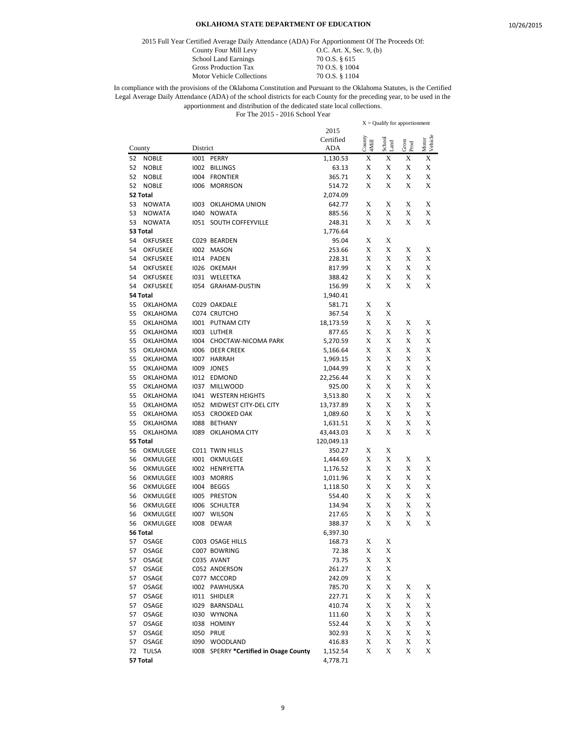2015 Full Year Certified Average Daily Attendance (ADA) For Apportionment Of The Proceeds Of:

Motor Vehicle Collections

County Four Mill Levy 0.C. Art. X, Sec. 9, (b) School Land Earnings 70 O.S. § 615<br>Gross Production Tax 70 O.S. § 1004 Gross Production Tax 70 O.S. § 1004<br>Motor Vehicle Collections 70 O.S. § 1104

|          |                      |              |                                        |                    | $X =$ Qualify for apportionment |                |               |                  |
|----------|----------------------|--------------|----------------------------------------|--------------------|---------------------------------|----------------|---------------|------------------|
|          |                      |              |                                        | 2015               |                                 |                |               |                  |
| County   |                      | District     |                                        | Certified<br>ADA   | County<br>4Mill                 | School<br>Land | Gross<br>Prod | Vehicle<br>Motor |
| 52       | <b>NOBLE</b>         |              | 1001 PERRY                             | 1,130.53           | X                               | X              | X             | X                |
| 52       | <b>NOBLE</b>         |              | 1002 BILLINGS                          | 63.13              | X                               | X              | X             | X                |
| 52       | <b>NOBLE</b>         | 1004         | <b>FRONTIER</b>                        | 365.71             | X                               | X              | X             | X                |
| 52       | <b>NOBLE</b>         | 1006         | <b>MORRISON</b>                        | 514.72             | X                               | X              | X             | X                |
|          | 52 Total             |              |                                        | 2,074.09           |                                 |                |               |                  |
| 53       | <b>NOWATA</b>        | 1003         | OKLAHOMA UNION                         | 642.77             | X                               | X              | X             | X                |
| 53       | <b>NOWATA</b>        |              | 1040 NOWATA                            | 885.56             | X                               | X              | X             | X                |
| 53       | <b>NOWATA</b>        |              | <b>IO51 SOUTH COFFEYVILLE</b>          | 248.31             | X                               | X              | X             | X                |
|          | 53 Total             |              |                                        | 1,776.64           |                                 |                |               |                  |
| 54       | <b>OKFUSKEE</b>      |              | C029 BEARDEN                           | 95.04              | X                               | X              |               |                  |
| 54       | <b>OKFUSKEE</b>      |              | 1002 MASON                             | 253.66             | X                               | X              | Х             | X                |
| 54       | <b>OKFUSKEE</b>      |              | I014 PADEN                             | 228.31             | X                               | X              | X             | X                |
| 54       | <b>OKFUSKEE</b>      | 1026         | OKEMAH                                 | 817.99             | X                               | X              | X             | X                |
| 54       | <b>OKFUSKEE</b>      |              | 1031 WELEETKA                          | 388.42             | X                               | X              | X             | X                |
| 54       | <b>OKFUSKEE</b>      | 1054         | <b>GRAHAM-DUSTIN</b>                   | 156.99             | X                               | X              | X             | X                |
|          | 54 Total             |              |                                        | 1,940.41           |                                 |                |               |                  |
| 55       | OKLAHOMA             |              | C029 OAKDALE                           | 581.71             | X                               | X              |               |                  |
| 55       | OKLAHOMA             |              | C074 CRUTCHO                           | 367.54             | X                               | X              |               |                  |
| 55       | OKLAHOMA             |              | 1001 PUTNAM CITY                       | 18,173.59          | X                               | X              | Х             | X                |
| 55       | OKLAHOMA             | 1003         | LUTHER                                 | 877.65             | X                               | X              | X             | X                |
| 55       | OKLAHOMA             | 1004         | CHOCTAW-NICOMA PARK                    | 5,270.59           | X                               | X              | X             | X                |
| 55       | OKLAHOMA             | 1006         | <b>DEER CREEK</b>                      | 5,166.64           | X                               | X              | X             | X                |
| 55       | OKLAHOMA             | 1007         | <b>HARRAH</b>                          | 1,969.15           | X                               | X              | X             | X                |
| 55       | OKLAHOMA             |              | 1009 JONES                             | 1,044.99           | X                               | X              | X             | X                |
| 55       | OKLAHOMA             |              | I012 EDMOND                            | 22,256.44          | X                               | X              | X             | X                |
| 55       | OKLAHOMA             |              | 1037 MILLWOOD                          | 925.00             | X                               | X              | X             | X                |
| 55       | OKLAHOMA             |              | 1041 WESTERN HEIGHTS                   | 3,513.80           | X                               | X              | Х             | X                |
| 55       | OKLAHOMA             | 1052         | MIDWEST CITY-DEL CITY                  | 13,737.89          | X                               | X              | X             | X                |
| 55       | OKLAHOMA             | 1053         | <b>CROOKED OAK</b>                     | 1,089.60           | X                               | X              | X             | X                |
| 55       | OKLAHOMA             | 1088         | <b>BETHANY</b>                         | 1,631.51           | X                               | X              | X             | X                |
| 55       | OKLAHOMA             | 1089         | OKLAHOMA CITY                          | 43,443.03          | X                               | X              | X             | X                |
|          | 55 Total             |              |                                        | 120,049.13         |                                 |                |               |                  |
| 56       | OKMULGEE             |              | C011 TWIN HILLS                        | 350.27             | X                               | X              |               |                  |
| 56       | OKMULGEE             |              | 1001 OKMULGEE                          | 1,444.69           | X                               | X<br>X         | X             | X                |
| 56       | OKMULGEE             |              | 1002 HENRYETTA                         | 1,176.52           | X                               | X              | Х             | X                |
| 56<br>56 | OKMULGEE             | 1003<br>1004 | <b>MORRIS</b><br>BEGGS                 | 1,011.96           | X<br>X                          | X              | X<br>X        | X<br>X           |
| 56       | OKMULGEE<br>OKMULGEE | 1005         | <b>PRESTON</b>                         | 1,118.50<br>554.40 | X                               | X              | X             | X                |
| 56       | OKMULGEE             | 1006         | SCHULTER                               | 134.94             | X                               | X              | X             | X                |
| 56       | OKMULGEE             | 1007         | <b>WILSON</b>                          | 217.65             | X                               | X              | X             | X                |
| 56       | OKMULGEE             | 1008         | <b>DEWAR</b>                           | 388.37             | X                               | X              | X             | X                |
|          | 56 Total             |              |                                        | 6,397.30           |                                 |                |               |                  |
| 57       | OSAGE                |              | C003 OSAGE HILLS                       | 168.73             | X                               | X              |               |                  |
| 57       | OSAGE                |              | C007 BOWRING                           | 72.38              | X                               | X              |               |                  |
| 57       | OSAGE                |              | C035 AVANT                             | 73.75              | X                               | X              |               |                  |
| 57       | OSAGE                |              | C052 ANDERSON                          | 261.27             | X                               | X              |               |                  |
| 57       | OSAGE                |              | C077 MCCORD                            | 242.09             | X                               | X              |               |                  |
| 57       | OSAGE                |              | 1002 PAWHUSKA                          | 785.70             | X                               | X              | X             | X                |
| 57       | OSAGE                |              | I011 SHIDLER                           | 227.71             | X                               | X              | X             | X                |
| 57       | OSAGE                |              | 1029 BARNSDALL                         | 410.74             | X                               | X              | X             | X                |
| 57       | OSAGE                |              | 1030 WYNONA                            | 111.60             | X                               | X              | X             | X                |
| 57       | OSAGE                |              | 1038 HOMINY                            | 552.44             | X                               | X              | X             | X                |
| 57       | OSAGE                |              | I050 PRUE                              | 302.93             | X                               | X              | X             | X                |
| 57       | OSAGE                |              | 1090 WOODLAND                          | 416.83             | X                               | $\mathbf X$    | X             | X                |
| 72       | TULSA                |              | I008 SPERRY *Certified in Osage County | 1,152.54           | X                               | X              | X             | X                |
|          | 57 Total             |              |                                        | 4,778.71           |                                 |                |               |                  |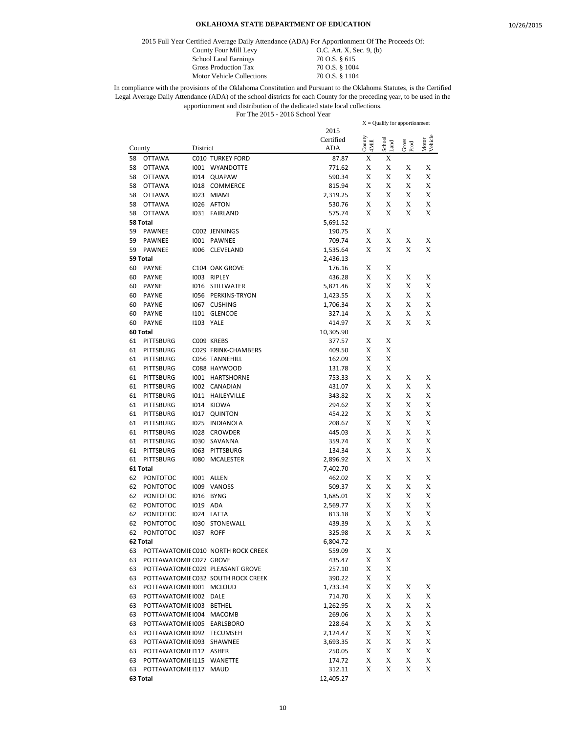2015 Full Year Certified Average Daily Attendance (ADA) For Apportionment Of The Proceeds Of:

Motor Vehicle Collections

County Four Mill Levy 0.C. Art. X, Sec. 9, (b) School Land Earnings 70 O.S. § 615<br>Gross Production Tax 70 O.S. § 1004 Gross Production Tax 70 O.S. § 1004<br>Motor Vehicle Collections 70 O.S. § 1104

|        |                             |          |                                    |            |        | $X =$ Qualify for apportionment |               |                  |
|--------|-----------------------------|----------|------------------------------------|------------|--------|---------------------------------|---------------|------------------|
|        |                             |          |                                    | 2015       |        |                                 |               |                  |
|        |                             |          |                                    | Certified  | County | School                          |               | Motor<br>Vehicle |
| County |                             | District |                                    | <b>ADA</b> | 4Mill  | Land                            | Gross<br>Prod |                  |
| 58     | <b>OTTAWA</b>               |          | <b>C010 TURKEY FORD</b>            | 87.87      | X      | Х                               |               |                  |
| 58     | <b>OTTAWA</b>               |          | 1001 WYANDOTTE                     | 771.62     | X      | X                               | X             | X                |
| 58     | <b>OTTAWA</b>               | 1014     | QUAPAW                             | 590.34     | X      | X                               | X             | X                |
| 58     | <b>OTTAWA</b>               |          | <b>I018 COMMERCE</b>               | 815.94     | X      | X                               | X             | X                |
| 58     | <b>OTTAWA</b>               | 1023     | <b>MIAMI</b>                       | 2,319.25   | X      | X                               | Х             | X                |
| 58     | <b>OTTAWA</b>               | 1026     | AFTON                              | 530.76     | X      | X                               | X             | X                |
| 58     | <b>OTTAWA</b>               |          | 1031 FAIRLAND                      | 575.74     | X      | X                               | X             | X                |
|        | 58 Total                    |          |                                    | 5,691.52   |        |                                 |               |                  |
| 59     | <b>PAWNEE</b>               |          | C002 JENNINGS                      | 190.75     | X      | X                               |               |                  |
| 59     | PAWNEE                      |          | 1001 PAWNEE                        | 709.74     | X      | X                               | X             | X                |
| 59     | PAWNEE                      | 1006     | CLEVELAND                          | 1,535.64   | X      | X                               | X             | X                |
|        | 59 Total                    |          |                                    | 2,436.13   |        |                                 |               |                  |
| 60     | <b>PAYNE</b>                |          | C104 OAK GROVE                     | 176.16     | X      | X                               |               |                  |
| 60     | <b>PAYNE</b>                | 1003     | RIPLEY                             | 436.28     | X      | X                               | X             | X                |
| 60     | <b>PAYNE</b>                |          | 1016 STILLWATER                    | 5,821.46   | X      | X                               | X             | X                |
|        | <b>PAYNE</b>                | 1056     | PERKINS-TRYON                      |            | X      | X                               | X             | X                |
| 60     |                             |          | <b>CUSHING</b>                     | 1,423.55   |        |                                 |               |                  |
| 60     | <b>PAYNE</b>                | 1067     |                                    | 1,706.34   | X      | X                               | X             | X                |
| 60     | <b>PAYNE</b>                |          | I101 GLENCOE                       | 327.14     | X      | X                               | X             | X                |
| 60     | <b>PAYNE</b>                |          | <b>1103 YALE</b>                   | 414.97     | X      | X                               | X             | X                |
|        | 60 Total                    |          |                                    | 10,305.90  |        |                                 |               |                  |
| 61     | PITTSBURG                   |          | C009 KREBS                         | 377.57     | X      | X                               |               |                  |
| 61     | PITTSBURG                   |          | C029 FRINK-CHAMBERS                | 409.50     | X      | X                               |               |                  |
| 61     | PITTSBURG                   |          | C056 TANNEHILL                     | 162.09     | X      | X                               |               |                  |
| 61     | <b>PITTSBURG</b>            |          | C088 HAYWOOD                       | 131.78     | X      | X                               |               |                  |
| 61     | <b>PITTSBURG</b>            |          | 1001 HARTSHORNE                    | 753.33     | X      | X                               | Х             | X                |
| 61     | PITTSBURG                   |          | 1002 CANADIAN                      | 431.07     | X      | X                               | Х             | X                |
| 61     | <b>PITTSBURG</b>            |          | 1011 HAILEYVILLE                   | 343.82     | X      | X                               | X             | X                |
| 61     | <b>PITTSBURG</b>            | 1014     | KIOWA                              | 294.62     | X      | X                               | X             | X                |
| 61     | PITTSBURG                   |          | 1017 QUINTON                       | 454.22     | X      | X                               | X             | X                |
| 61     | <b>PITTSBURG</b>            | 1025     | INDIANOLA                          | 208.67     | X      | X                               | X             | X                |
| 61     | <b>PITTSBURG</b>            | 1028     | <b>CROWDER</b>                     | 445.03     | X      | X                               | X             | X                |
| 61     | PITTSBURG                   | 1030     | SAVANNA                            | 359.74     | X      | X                               | X             | X                |
| 61     | <b>PITTSBURG</b>            | 1063     | PITTSBURG                          | 134.34     | X      | X                               | Х             | X                |
| 61     | <b>PITTSBURG</b>            | 1080     | <b>MCALESTER</b>                   | 2,896.92   | X      | X                               | X             | X                |
|        | 61 Total                    |          |                                    | 7,402.70   |        |                                 |               |                  |
| 62     | <b>PONTOTOC</b>             |          | 1001 ALLEN                         | 462.02     | X      | X                               | X             | X                |
| 62     | <b>PONTOTOC</b>             |          | 1009 VANOSS                        | 509.37     | X      | X                               | X             | X                |
| 62     | <b>PONTOTOC</b>             | 1016     | <b>BYNG</b>                        | 1,685.01   | X      | X                               | X             | X                |
| 62     | <b>PONTOTOC</b>             | 1019     | ADA                                | 2,569.77   | X      | X                               | X             | X                |
| 62     | <b>PONTOTOC</b>             | 1024     | LATTA                              | 813.18     | X      | X                               | X             | X                |
| 62     | <b>PONTOTOC</b>             | 1030     | STONEWALL                          | 439.39     | X      | X                               | X             | X                |
| 62     | <b>PONTOTOC</b>             | 1037     | <b>ROFF</b>                        | 325.98     | X      | X                               | X             | X                |
|        |                             |          |                                    |            |        |                                 |               |                  |
|        | 62 Total                    |          |                                    | 6,804.72   |        |                                 |               |                  |
| 63     |                             |          | POTTAWATOMIE C010 NORTH ROCK CREEK | 559.09     | X      | X                               |               |                  |
| 63     | POTTAWATOMIE C027 GROVE     |          |                                    | 435.47     | X      | X                               |               |                  |
| 63     |                             |          | POTTAWATOMIE C029 PLEASANT GROVE   | 257.10     | X      | X                               |               |                  |
| 63     |                             |          | POTTAWATOMIE C032 SOUTH ROCK CREEK | 390.22     | X      | X                               |               |                  |
| 63     | POTTAWATOMII 1001 MCLOUD    |          |                                    | 1,733.34   | X      | X                               | X             | X                |
| 63     | POTTAWATOMIE 1002 DALE      |          |                                    | 714.70     | X      | X                               | X             | X                |
| 63     | POTTAWATOMIE 1003 BETHEL    |          |                                    | 1,262.95   | X      | X                               | X             | X                |
| 63     | POTTAWATOMIE 1004 MACOMB    |          |                                    | 269.06     | X      | X                               | X             | X                |
| 63     | POTTAWATOMIE 1005 EARLSBORO |          |                                    | 228.64     | X      | X                               | X             | X                |
| 63     | POTTAWATOMIE 1092 TECUMSEH  |          |                                    | 2,124.47   | X      | X                               | X             | X                |
| 63     | POTTAWATOMIE 1093 SHAWNEE   |          |                                    | 3,693.35   | X      | X                               | X             | X                |
| 63     | POTTAWATOMIE I112 ASHER     |          |                                    | 250.05     | X      | X                               | X             | X                |
| 63     | POTTAWATOMIE I115 WANETTE   |          |                                    | 174.72     | X      | X                               | X             | X                |
| 63     | POTTAWATOMIE I117 MAUD      |          |                                    | 312.11     | X      | X                               | X             | X                |
|        | 63 Total                    |          |                                    | 12,405.27  |        |                                 |               |                  |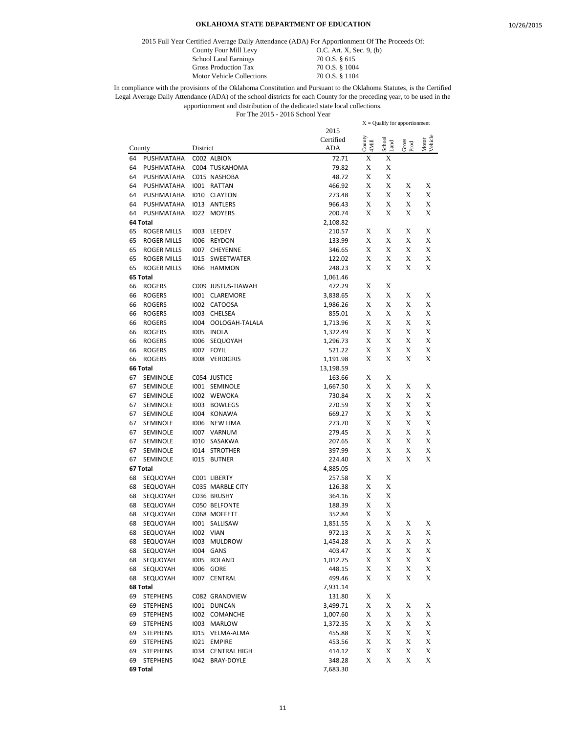2015 Full Year Certified Average Daily Attendance (ADA) For Apportionment Of The Proceeds Of:

Motor Vehicle Collections

County Four Mill Levy 0.C. Art. X, Sec. 9, (b) School Land Earnings 70 O.S. § 615<br>Gross Production Tax 70 O.S. § 1004 Gross Production Tax 70 O.S. § 1004<br>Motor Vehicle Collections 70 O.S. § 1104

|        |                    |          |                          |           |        | $X =$ Qualify for apportionment |               |                  |
|--------|--------------------|----------|--------------------------|-----------|--------|---------------------------------|---------------|------------------|
|        |                    |          |                          | 2015      |        |                                 |               |                  |
|        |                    |          |                          | Certified | County | School                          |               | Motor<br>Vehicle |
| County |                    | District |                          | ADA       | 4Mill  | Land                            | Gross<br>Prod |                  |
| 64     | PUSHMATAHA         |          | C002 ALBION              | 72.71     | X      | X                               |               |                  |
| 64     | PUSHMATAHA         |          | C004 TUSKAHOMA           | 79.82     | X      | X                               |               |                  |
| 64     | PUSHMATAHA         |          | C015 NASHOBA             | 48.72     | X      | X                               |               |                  |
| 64     | PUSHMATAHA         |          | 1001 RATTAN              | 466.92    | X      | X                               | X             | X                |
| 64     | PUSHMATAHA         |          | <b>I010 CLAYTON</b>      | 273.48    | X      | X                               | Х             | X                |
| 64     | PUSHMATAHA         | 1013     | ANTLERS                  | 966.43    | X      | X                               | X             | X                |
| 64     | PUSHMATAHA         | 1022     | <b>MOYERS</b>            | 200.74    | X      | X                               | Х             | X                |
|        | 64 Total           |          |                          | 2,108.82  |        |                                 |               |                  |
| 65     | <b>ROGER MILLS</b> | 1003     | LEEDEY                   | 210.57    | X      | X                               | X             | X                |
| 65     | <b>ROGER MILLS</b> | 1006     | <b>REYDON</b>            | 133.99    | X      | X                               | Х             | X                |
| 65     | <b>ROGER MILLS</b> | 1007     | CHEYENNE                 | 346.65    | X      | X                               | X             | X                |
| 65     | <b>ROGER MILLS</b> | 1015     | SWEETWATER               | 122.02    | X      | X                               | X             | X                |
| 65     | <b>ROGER MILLS</b> |          | 1066 HAMMON              | 248.23    | X      | X                               | X             | X                |
|        | 65 Total           |          |                          |           |        |                                 |               |                  |
|        |                    |          |                          | 1,061.46  |        |                                 |               |                  |
| 66     | <b>ROGERS</b>      |          | C009 JUSTUS-TIAWAH       | 472.29    | X      | X                               |               |                  |
| 66     | <b>ROGERS</b>      |          | 1001 CLAREMORE           | 3,838.65  | X      | X                               | X             | X                |
| 66     | <b>ROGERS</b>      |          | I002 CATOOSA             | 1,986.26  | X      | X                               | X             | X                |
| 66     | <b>ROGERS</b>      |          | 1003 CHELSEA             | 855.01    | X      | X                               | Х             | X                |
| 66     | ROGERS             | 1004     | OOLOGAH-TALALA           | 1,713.96  | X      | X                               | Х             | X                |
| 66     | <b>ROGERS</b>      | 1005     | INOLA                    | 1,322.49  | X      | X                               | X             | X                |
| 66     | <b>ROGERS</b>      |          | 1006 SEQUOYAH            | 1,296.73  | X      | X                               | Х             | X                |
| 66     | <b>ROGERS</b>      | 1007     | <b>FOYIL</b>             | 521.22    | X      | X                               | X             | X                |
| 66     | <b>ROGERS</b>      | 1008     | VERDIGRIS                | 1,191.98  | X      | X                               | X             | X                |
|        | 66 Total           |          |                          | 13,198.59 |        |                                 |               |                  |
| 67     | SEMINOLE           |          | C054 JUSTICE             | 163.66    | X      | X                               |               |                  |
| 67     | SEMINOLE           |          | 1001 SEMINOLE            | 1,667.50  | X      | X                               | X             | X                |
| 67     | SEMINOLE           |          | 1002 WEWOKA              | 730.84    | X      | X                               | X             | X                |
| 67     | SEMINOLE           | 1003     | <b>BOWLEGS</b>           | 270.59    | X      | X                               | X             | X                |
| 67     | SEMINOLE           |          | 1004 KONAWA              | 669.27    | X      | X                               | X             | X                |
| 67     | SEMINOLE           | 1006     | <b>NEW LIMA</b>          | 273.70    | X      | X                               | X             | X                |
| 67     | SEMINOLE           |          | 1007 VARNUM              | 279.45    | X      | X                               | X             | X                |
| 67     | SEMINOLE           | 1010     | SASAKWA                  | 207.65    | X      | X                               | Х             | X                |
| 67     | SEMINOLE           | 1014     | <b>STROTHER</b>          | 397.99    | X      | X                               | Х             | X                |
| 67     | SEMINOLE           |          | I015 BUTNER              | 224.40    | X      | X                               | X             | X                |
|        | 67 Total           |          |                          | 4,885.05  |        |                                 |               |                  |
| 68     | SEQUOYAH           |          | CO01 LIBERTY             | 257.58    | X      | X                               |               |                  |
| 68     | SEQUOYAH           |          | C035 MARBLE CITY         | 126.38    | X      | X                               |               |                  |
| 68     | SEQUOYAH           |          | C036 BRUSHY              | 364.16    | Х      | X                               |               |                  |
| 68     | SEQUOYAH           |          | C050 BELFONTE            | 188.39    | X      | X                               |               |                  |
| 68     | SEQUOYAH           |          | C068 MOFFETT             | 352.84    | X      | X                               |               |                  |
| 68     | SEQUOYAH           |          | 1001 SALLISAW            | 1,851.55  | X      | X                               | Х             | X                |
| 68     | SEQUOYAH           |          | 1002 VIAN                | 972.13    | X      | X                               | X             | X                |
|        |                    |          | 1003 MULDROW             | 1,454.28  | X      | X                               | X             | X                |
| 68     | SEQUOYAH           |          |                          |           |        |                                 |               |                  |
| 68     | SEQUOYAH           |          | 1004 GANS<br>1005 ROLAND | 403.47    | X      | X                               | X             | X                |
| 68     | SEQUOYAH           |          |                          | 1,012.75  | X      | X                               | X             | X                |
| 68     | SEQUOYAH           |          | 1006 GORE                | 448.15    | X      | X                               | X             | X                |
| 68     | SEQUOYAH           |          | 1007 CENTRAL             | 499.46    | X      | X                               | X             | X                |
|        | 68 Total           |          |                          | 7,931.14  |        |                                 |               |                  |
| 69     | <b>STEPHENS</b>    |          | C082 GRANDVIEW           | 131.80    | X      | X                               |               |                  |
| 69     | <b>STEPHENS</b>    |          | 1001 DUNCAN              | 3,499.71  | X      | X                               | X             | X                |
| 69     | <b>STEPHENS</b>    |          | 1002 COMANCHE            | 1,007.60  | X      | X                               | X             | X                |
| 69     | <b>STEPHENS</b>    |          | 1003 MARLOW              | 1,372.35  | X      | X                               | X             | X                |
| 69     | <b>STEPHENS</b>    |          | 1015 VELMA-ALMA          | 455.88    | X      | X                               | X             | X                |
| 69     | <b>STEPHENS</b>    |          | 1021 EMPIRE              | 453.56    | X      | X                               | X             | X                |
| 69     | <b>STEPHENS</b>    |          | 1034 CENTRAL HIGH        | 414.12    | X      | X                               | X             | X                |
| 69     | <b>STEPHENS</b>    |          | 1042 BRAY-DOYLE          | 348.28    | X      | X                               | X             | X                |
|        | 69 Total           |          |                          | 7,683.30  |        |                                 |               |                  |